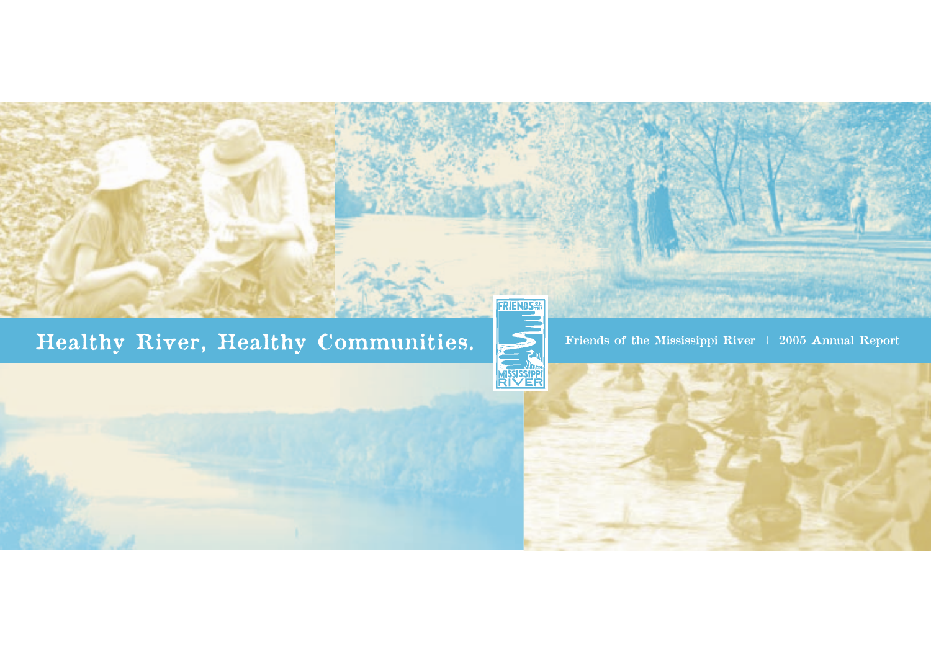

**FRIENDS**<sup>er</sup>

**MISSISSIPPI**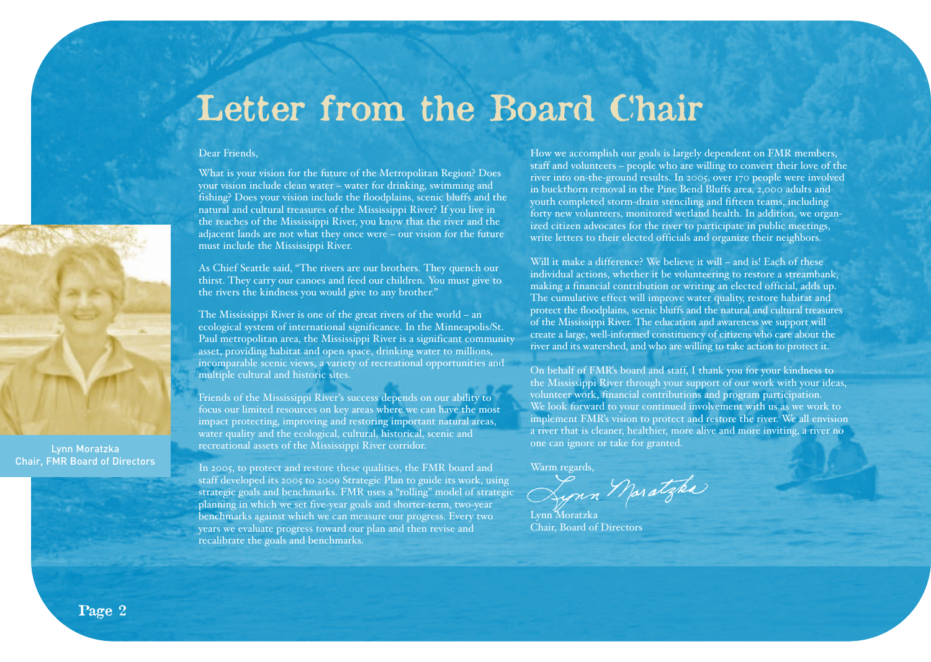# **Letter from the Board Chair**

#### Dear Friends,

What is your vision for the future of the Metropolitan Region? Does your vision include clean water – water for drinking, swimming and fishing? Does your vision include the floodplains, scenic bluffs and the natural and cultural treasures of the Mississippi River? If you live in the reaches of the Mississippi River, you know that the river and the adjacent lands are not what they once were – our vision for the future must include the Mississippi River.

As Chief Seattle said, "The rivers are our brothers. They quench our thirst. They carry our canoes and feed our children. You must give to the rivers the kindness you would give to any brother."

The Mississippi River is one of the great rivers of the world – an ecological system of international significance. In the Minneapolis/St. Paul metropolitan area, the Mississippi River is a significant community asset, providing habitat and open space, drinking water to millions, incomparable scenic views, a variety of recreational opportunities and multiple cultural and historic sites.

Friends of the Mississippi River's success depends on our ability to focus our limited resources on key areas where we can have the most impact protecting, improving and restoring important natural areas, water quality and the ecological, cultural, historical, scenic and recreational assets of the Mississippi River corridor.

In 2005, to protect and restore these qualities, the FMR board and staff developed its 2005 to 2009 Strategic Plan to guide its work, using strategic goals and benchmarks. FMR uses a "rolling" model of strategic planning in which we set five-year goals and shorter-term, two-year benchmarks against which we can measure our progress. Every two years we evaluate progress toward our plan and then revise and recalibrate the goals and benchmarks.

How we accomplish our goals is largely dependent on FMR members, staff and volunteers – people who are willing to convert their love of the river into on-the-ground results. In 2005, over 170 people were involved in buckthorn removal in the Pine Bend Bluffs area, 2,000 adults and youth completed storm-drain stenciling and fifteen teams, including forty new volunteers, monitored wetland health. In addition, we organized citizen advocates for the river to participate in public meetings, write letters to their elected officials and organize their neighbors.

Will it make a difference? We believe it will – and is! Each of these individual actions, whether it be volunteering to restore a streambank, making a financial contribution or writing an elected official, adds up. The cumulative effect will improve water quality, restore habitat and protect the floodplains, scenic bluffs and the natural and cultural treasures of the Mississippi River. The education and awareness we support will create a large, well-informed constituency of citizens who care about the river and its watershed, and who are willing to take action to protect it.

On behalf of FMR's board and staff, I thank you for your kindness to the Mississippi River through your support of our work with your ideas, volunteer work, financial contributions and program participation. We look forward to your continued involvement with us as we work to implement FMR's vision to protect and restore the river. We all envision a river that is cleaner, healthier, more alive and more inviting, a river no one can ignore or take for granted.

Warm regards,<br>Synn Maratgha

Lynn Moratzka Chair, Board of Directors

Lynn Moratzka Chair, FMR Board of Directors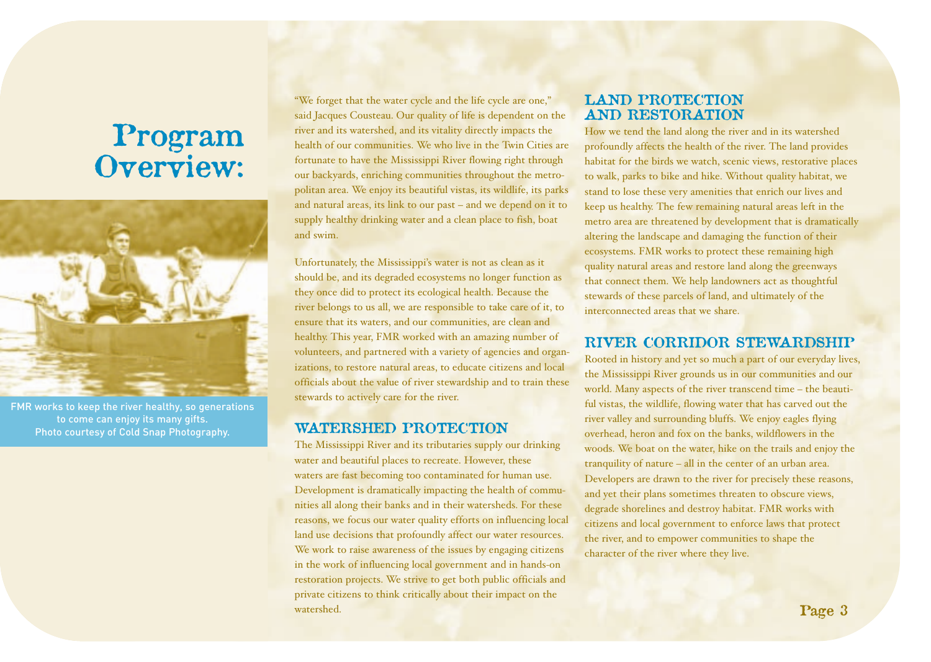# **Program Overview:**



FMR works to keep the river healthy, so generations to come can enjoy its many gifts. Photo courtesy of Cold Snap Photography.

"We forget that the water cycle and the life cycle are one," said Jacques Cousteau. Our quality of life is dependent on the river and its watershed, and its vitality directly impacts the health of our communities. We who live in the Twin Cities are fortunate to have the Mississippi River flowing right through our backyards, enriching communities throughout the metropolitan area. We enjoy its beautiful vistas, its wildlife, its parks and natural areas, its link to our past – and we depend on it to supply healthy drinking water and a clean place to fish, boat and swim.

Unfortunately, the Mississippi's water is not as clean as it should be, and its degraded ecosystems no longer function as they once did to protect its ecological health. Because the river belongs to us all, we are responsible to take care of it, to ensure that its waters, and our communities, are clean and healthy. This year, FMR worked with an amazing number of volunteers, and partnered with a variety of agencies and organizations, to restore natural areas, to educate citizens and local officials about the value of river stewardship and to train these stewards to actively care for the river.

# **WATERSHED PROTECTION**

The Mississippi River and its tributaries supply our drinking water and beautiful places to recreate. However, these waters are fast becoming too contaminated for human use. Development is dramatically impacting the health of communities all along their banks and in their watersheds. For these reasons, we focus our water quality efforts on influencing local land use decisions that profoundly affect our water resources. We work to raise awareness of the issues by engaging citizens in the work of influencing local government and in hands-on restoration projects. We strive to get both public officials and private citizens to think critically about their impact on the watershed.

# **LAND PROTECTION AND RESTORATION**

How we tend the land along the river and in its watershed profoundly affects the health of the river. The land provides habitat for the birds we watch, scenic views, restorative places to walk, parks to bike and hike. Without quality habitat, we stand to lose these very amenities that enrich our lives and keep us healthy. The few remaining natural areas left in the metro area are threatened by development that is dramatically altering the landscape and damaging the function of their ecosystems. FMR works to protect these remaining high quality natural areas and restore land along the greenways that connect them. We help landowners act as thoughtful stewards of these parcels of land, and ultimately of the interconnected areas that we share.

# **RIVER CORRIDOR STEWARDSHIP**

Rooted in history and yet so much a part of our everyday lives, the Mississippi River grounds us in our communities and our world. Many aspects of the river transcend time – the beautiful vistas, the wildlife, flowing water that has carved out the river valley and surrounding bluffs. We enjoy eagles flying overhead, heron and fox on the banks, wildflowers in the woods. We boat on the water, hike on the trails and enjoy the tranquility of nature – all in the center of an urban area. Developers are drawn to the river for precisely these reasons, and yet their plans sometimes threaten to obscure views, degrade shorelines and destroy habitat. FMR works with citizens and local government to enforce laws that protect the river, and to empower communities to shape the character of the river where they live.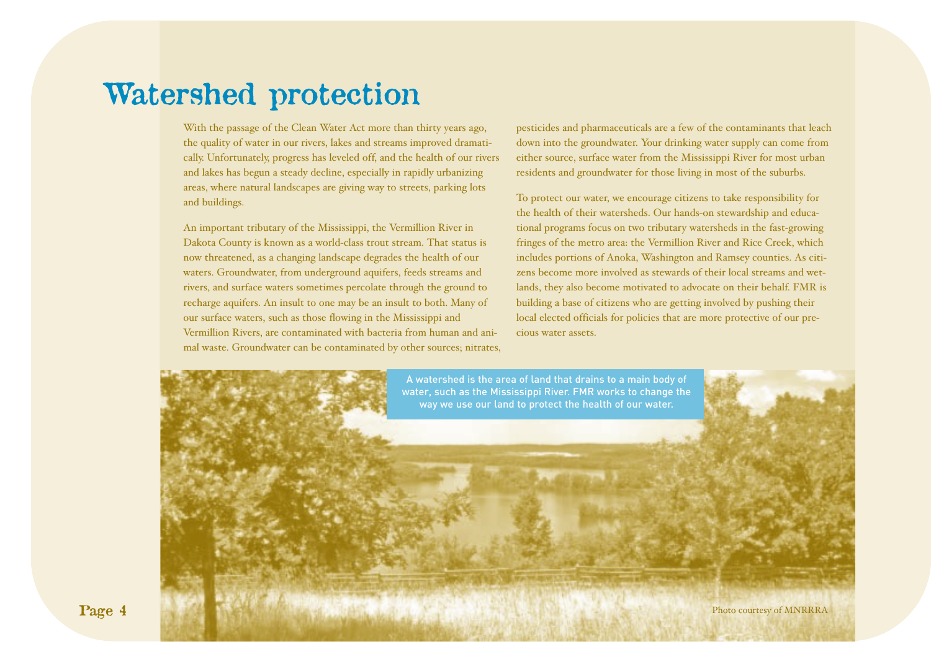# **Watershed protection**

With the passage of the Clean Water Act more than thirty years ago, the quality of water in our rivers, lakes and streams improved dramatically. Unfortunately, progress has leveled off, and the health of our rivers and lakes has begun a steady decline, especially in rapidly urbanizing areas, where natural landscapes are giving way to streets, parking lots and buildings.

An important tributary of the Mississippi, the Vermillion River in Dakota County is known as a world-class trout stream. That status is now threatened, as a changing landscape degrades the health of our waters. Groundwater, from underground aquifers, feeds streams and rivers, and surface waters sometimes percolate through the ground to recharge aquifers. An insult to one may be an insult to both. Many of our surface waters, such as those flowing in the Mississippi and Vermillion Rivers, are contaminated with bacteria from human and animal waste. Groundwater can be contaminated by other sources; nitrates, pesticides and pharmaceuticals are a few of the contaminants that leach down into the groundwater. Your drinking water supply can come from either source, surface water from the Mississippi River for most urban residents and groundwater for those living in most of the suburbs.

To protect our water, we encourage citizens to take responsibility for the health of their watersheds. Our hands-on stewardship and educational programs focus on two tributary watersheds in the fast-growing fringes of the metro area: the Vermillion River and Rice Creek, which includes portions of Anoka, Washington and Ramsey counties. As citizens become more involved as stewards of their local streams and wetlands, they also become motivated to advocate on their behalf. FMR is building a base of citizens who are getting involved by pushing their local elected officials for policies that are more protective of our precious water assets.

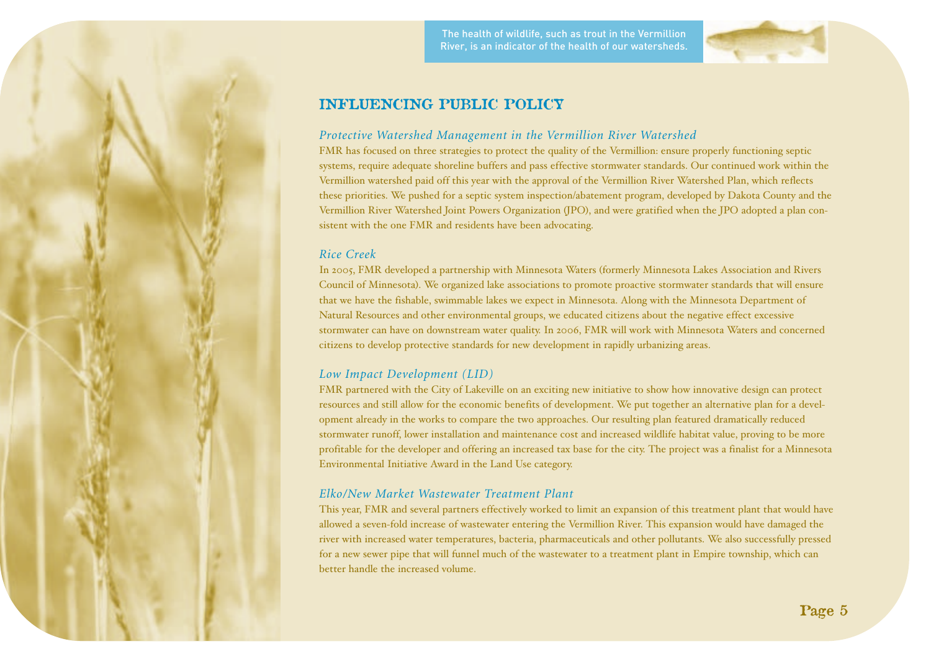The health of wildlife, such as trout in the Vermillion River, is an indicator of the health of our watersheds.



# **INFLUENCING PUBLIC POLICY**

### *Protective Watershed Management in the Vermillion River Watershed*

FMR has focused on three strategies to protect the quality of the Vermillion: ensure properly functioning septic systems, require adequate shoreline buffers and pass effective stormwater standards. Our continued work within the Vermillion watershed paid off this year with the approval of the Vermillion River Watershed Plan, which reflects these priorities. We pushed for a septic system inspection/abatement program, developed by Dakota County and the Vermillion River Watershed Joint Powers Organization (JPO), and were gratified when the JPO adopted a plan consistent with the one FMR and residents have been advocating.

# *Rice Creek*

In 2005, FMR developed a partnership with Minnesota Waters (formerly Minnesota Lakes Association and Rivers Council of Minnesota). We organized lake associations to promote proactive stormwater standards that will ensure that we have the fishable, swimmable lakes we expect in Minnesota. Along with the Minnesota Department of Natural Resources and other environmental groups, we educated citizens about the negative effect excessive stormwater can have on downstream water quality. In 2006, FMR will work with Minnesota Waters and concerned citizens to develop protective standards for new development in rapidly urbanizing areas.

# *Low Impact Development (LID)*

FMR partnered with the City of Lakeville on an exciting new initiative to show how innovative design can protect resources and still allow for the economic benefits of development. We put together an alternative plan for a development already in the works to compare the two approaches. Our resulting plan featured dramatically reduced stormwater runoff, lower installation and maintenance cost and increased wildlife habitat value, proving to be more profitable for the developer and offering an increased tax base for the city. The project was a finalist for a Minnesota Environmental Initiative Award in the Land Use category.

# *Elko/New Market Wastewater Treatment Plant*

This year, FMR and several partners effectively worked to limit an expansion of this treatment plant that would have allowed a seven-fold increase of wastewater entering the Vermillion River. This expansion would have damaged the river with increased water temperatures, bacteria, pharmaceuticals and other pollutants. We also successfully pressed for a new sewer pipe that will funnel much of the wastewater to a treatment plant in Empire township, which can better handle the increased volume.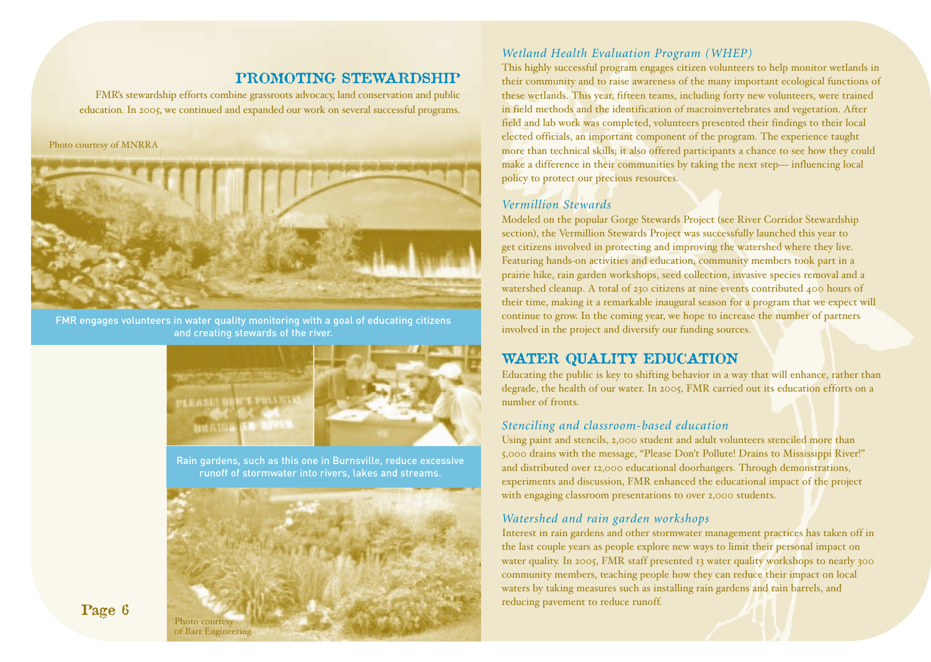# **PROMOTING STEWARDSHIP**

FMR's stewardship efforts combine grassroots advocacy, land conservation and public education. In 2005, we continued and expanded our work on several successful programs.

#### Photo courtesy of MNRRA



FMR engages volunteers in water quality monitoring with a goal of educating citizens and creating stewards of the river.



Rain gardens, such as this one in Burnsville, reduce excessive runoff of stormwater into rivers, lakes and streams.



### *Wetland Health Evaluation Program (WHEP)*

This highly successful program engages citizen volunteers to help monitor wetlands in their community and to raise awareness of the many important ecological functions of these wetlands. This year, fifteen teams, including forty new volunteers, were trained in field methods and the identification of macroinvertebrates and vegetation. After field and lab work was completed, volunteers presented their findings to their local elected officials, an important component of the program. The experience taught more than technical skills; it also offered participants a chance to see how they could make a difference in their communities by taking the next step— influencing local policy to protect our precious resources.

#### *Vermillion Stewards*

Modeled on the popular Gorge Stewards Project (see River Corridor Stewardship section), the Vermillion Stewards Project was successfully launched this year to get citizens involved in protecting and improving the watershed where they live. Featuring hands-on activities and education, community members took part in a prairie hike, rain garden workshops, seed collection, invasive species removal and a watershed cleanup. A total of 230 citizens at nine events contributed 400 hours of their time, making it a remarkable inaugural season for a program that we expect will continue to grow. In the coming year, we hope to increase the number of partners involved in the project and diversify our funding sources.

# **WATER QUALITY EDUCATION**

Educating the public is key to shifting behavior in a way that will enhance, rather than degrade, the health of our water. In 2005, FMR carried out its education efforts on a number of fronts.

#### *Stenciling and classroom-based education*

Using paint and stencils, 2,000 student and adult volunteers stenciled more than 5,000 drains with the message, "Please Don't Pollute! Drains to Mississippi River!" and distributed over 12,000 educational doorhangers. Through demonstrations, experiments and discussion, FMR enhanced the educational impact of the project with engaging classroom presentations to over 2,000 students.

#### *Watershed and rain garden workshops*

Interest in rain gardens and other stormwater management practices has taken off in the last couple years as people explore new ways to limit their personal impact on water quality. In 2005, FMR staff presented 13 water quality workshops to nearly 300 community members, teaching people how they can reduce their impact on local waters by taking measures such as installing rain gardens and rain barrels, and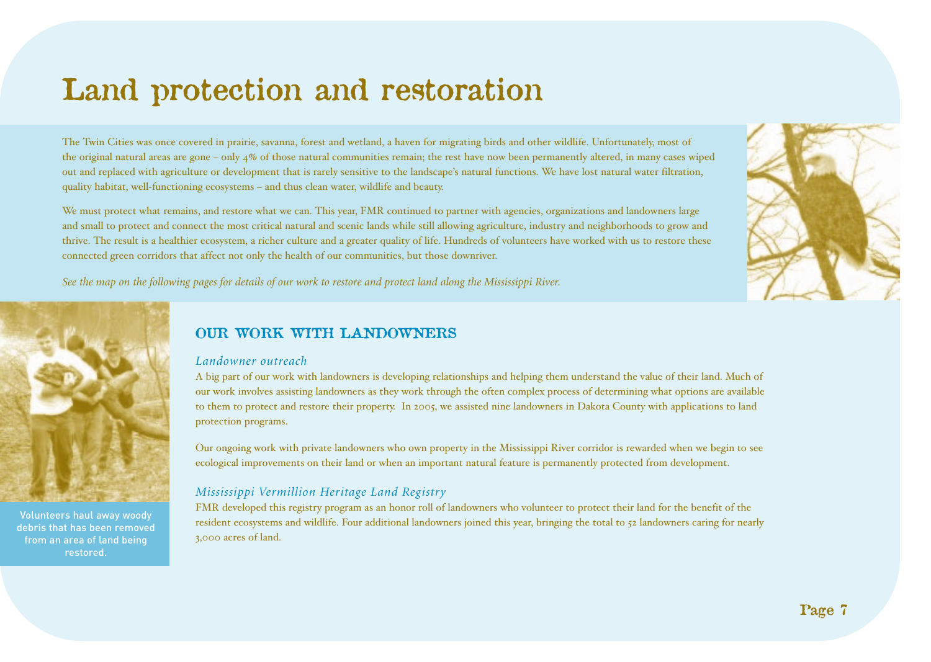# **Land protection and restoration**

The Twin Cities was once covered in prairie, savanna, forest and wetland, a haven for migrating birds and other wildlife. Unfortunately, most of the original natural areas are gone – only  $4\%$  of those natural communities remain; the rest have now been permanently altered, in many cases wiped out and replaced with agriculture or development that is rarely sensitive to the landscape's natural functions. We have lost natural water filtration, quality habitat, well-functioning ecosystems – and thus clean water, wildlife and beauty.

We must protect what remains, and restore what we can. This year, FMR continued to partner with agencies, organizations and landowners large and small to protect and connect the most critical natural and scenic lands while still allowing agriculture, industry and neighborhoods to grow and thrive. The result is a healthier ecosystem, a richer culture and a greater quality of life. Hundreds of volunteers have worked with us to restore these connected green corridors that affect not only the health of our communities, but those downriver.



*See the map on the following pages for details of our work to restore and protect land along the Mississippi River.*



Volunteers haul away woody debris that has been removed from an area of land being restored.

# **OUR WORK WITH LANDOWNERS**

#### *Landowner outreach*

A big part of our work with landowners is developing relationships and helping them understand the value of their land. Much of our work involves assisting landowners as they work through the often complex process of determining what options are available to them to protect and restore their property. In 2005, we assisted nine landowners in Dakota County with applications to land protection programs.

Our ongoing work with private landowners who own property in the Mississippi River corridor is rewarded when we begin to see ecological improvements on their land or when an important natural feature is permanently protected from development.

## *Mississippi Vermillion Heritage Land Registry*

FMR developed this registry program as an honor roll of landowners who volunteer to protect their land for the benefit of the resident ecosystems and wildlife. Four additional landowners joined this year, bringing the total to 52 landowners caring for nearly 3,000 acres of land.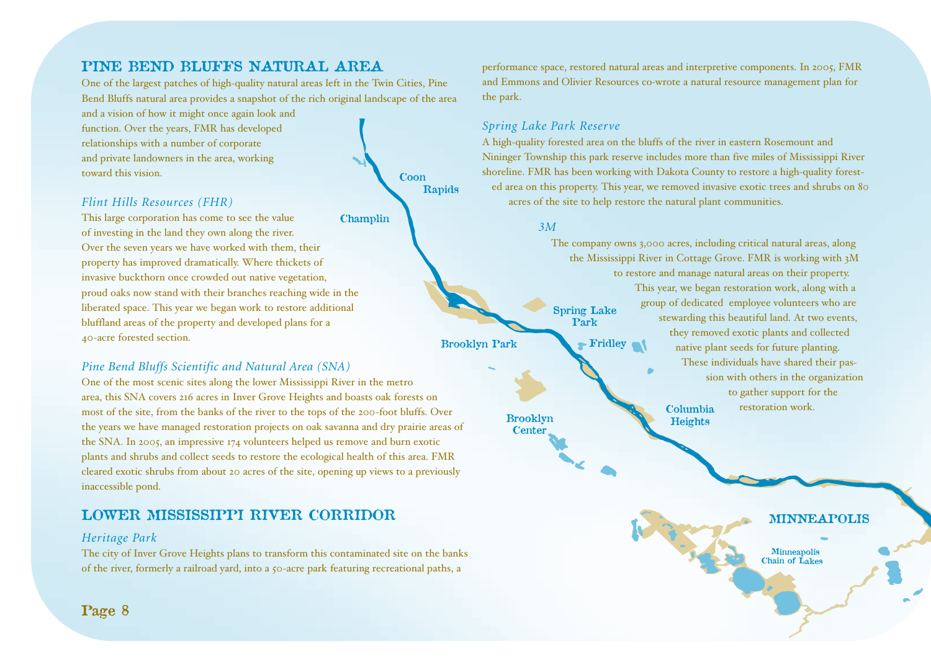# **PINE BEND BLUFFS NATURAL AREA**

One of the largest patches of high-quality natural areas left in the Twin Cities, Pine Bend Bluffs natural area provides a snapshot of the rich original landscape of the area and a vision of how it might once again look and **County Park**

function. Over the years, FMR has developed relationships with a number of corporate and private landowners in the area, working toward this vision.

# *Flint Hills Resources (FHR)*

This large corporation has come to see the value of investing in the land they own along the river. Over the seven years we have worked with them, their property has improved dramatically. Where thickets of invasive buckthorn once crowded out native vegetation, proud oaks now stand with their branches reaching wide in the liberated space. This year we began work to restore additional bluffland areas of the property and developed plans for a 40-acre forested section.

# *Pine Bend Bluffs Scientific and Natural Area (SNA)*

One of the most scenic sites along the lower Mississippi River in the metro area, this SNA covers 216 acres in Inver Grove Heights and boasts oak forests on most of the site, from the banks of the river to the tops of the 200-foot bluffs. Over the years we have managed restoration projects on oak savanna and dry prairie areas of the SNA. In 2005, an impressive 174 volunteers helped us remove and burn exotic plants and shrubs and collect seeds to restore the ecological health of this area. FMR cleared exotic shrubs from about 20 acres of the site, opening up views to a previously inaccessible pond.

# **LOWER MISSISSIPPI RIVER CORRIDOR**

## *Heritage Park*

The city of Inver Grove Heights plans to transform this contaminated site on the banks of the river, formerly a railroad yard, into a 50-acre park featuring recreational paths, a



performance space, restored natural areas and interpretive components. In 2005, FMR and Emmons and Olivier Resources co-wrote a natural resource management plan for the park.

# *Spring Lake Park Reserve*

A high-quality forested area on the bluffs of the river in eastern Rosemount and Nininger Township this park reserve includes more than five miles of Mississippi River shoreline. FMR has been working with Dakota County to restore a high-quality forested area on this property. This year, we removed invasive exotic trees and shrubs on 80 acres of the site to help restore the natural plant communities.

#### *3M*

**Park**

The company owns 3,000 acres, including critical natural areas, along the Mississippi River in Cottage Grove. FMR is working with 3M to restore and manage natural areas on their property. This year, we began restoration work, along with a group of dedicated employee volunteers who are stewarding this beautiful land. At two events, they removed exotic plants and collected native plant seeds for future planting. These individuals have shared their passion with others in the organization to gather support for the restoration work. **Spring Lake Fridley Columbia Heights**

**Brooklyn Center**

**MINNEAPOLIS**

**Minneapolis Chain of Lakes**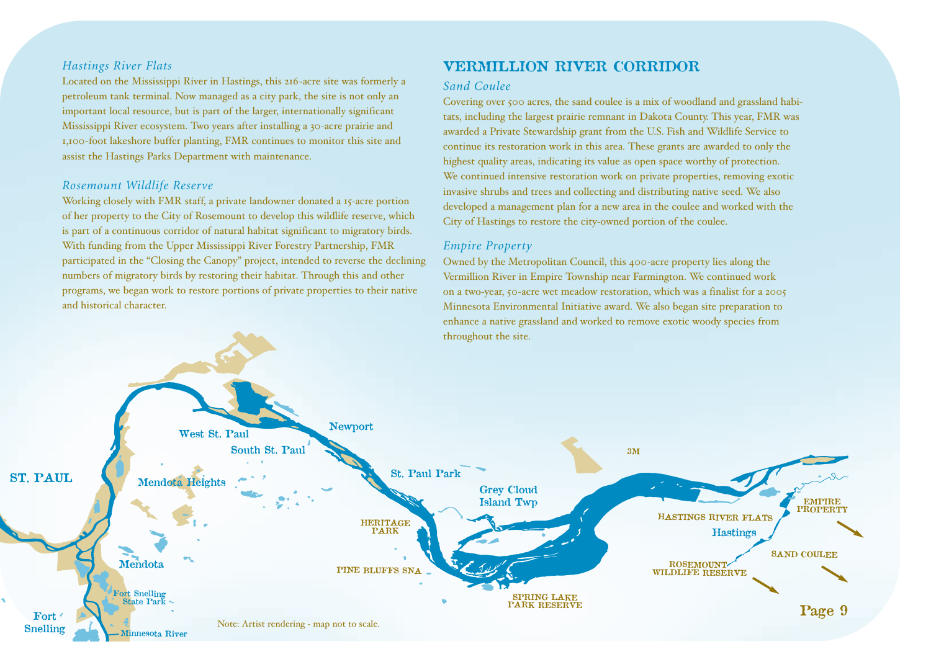#### *Hastings River Flats*

Located on the Mississippi River in Hastings, this 216-acre site was formerly a petroleum tank terminal. Now managed as a city park, the site is not only an important local resource, but is part of the larger, internationally significant Mississippi River ecosystem. Two years after installing a 30-acre prairie and 1,100-foot lakeshore buffer planting, FMR continues to monitor this site and assist the Hastings Parks Department with maintenance.

#### *Rosemount Wildlife Reserve*

Working closely with FMR staff, a private landowner donated a 15-acre portion of her property to the City of Rosemount to develop this wildlife reserve, which is part of a continuous corridor of natural habitat significant to migratory birds. With funding from the Upper Mississippi River Forestry Partnership, FMR participated in the "Closing the Canopy" project, intended to reverse the declining numbers of migratory birds by restoring their habitat. Through this and other programs, we began work to restore portions of private properties to their native and historical character.

# **VERMILLION RIVER CORRIDOR**

#### *Sand Coulee*

Covering over 500 acres, the sand coulee is a mix of woodland and grassland habitats, including the largest prairie remnant in Dakota County. This year, FMR was awarded a Private Stewardship grant from the U.S. Fish and Wildlife Service to continue its restoration work in this area. These grants are awarded to only the highest quality areas, indicating its value as open space worthy of protection. We continued intensive restoration work on private properties, removing exotic invasive shrubs and trees and collecting and distributing native seed. We also developed a management plan for a new area in the coulee and worked with the City of Hastings to restore the city-owned portion of the coulee.

#### *Empire Property*

Owned by the Metropolitan Council, this 400-acre property lies along the Vermillion River in Empire Township near Farmington. We continued work on a two-year, 50-acre wet meadow restoration, which was a finalist for a 2005 Minnesota Environmental Initiative award. We also began site preparation to enhance a native grassland and worked to remove exotic woody species from throughout the site.

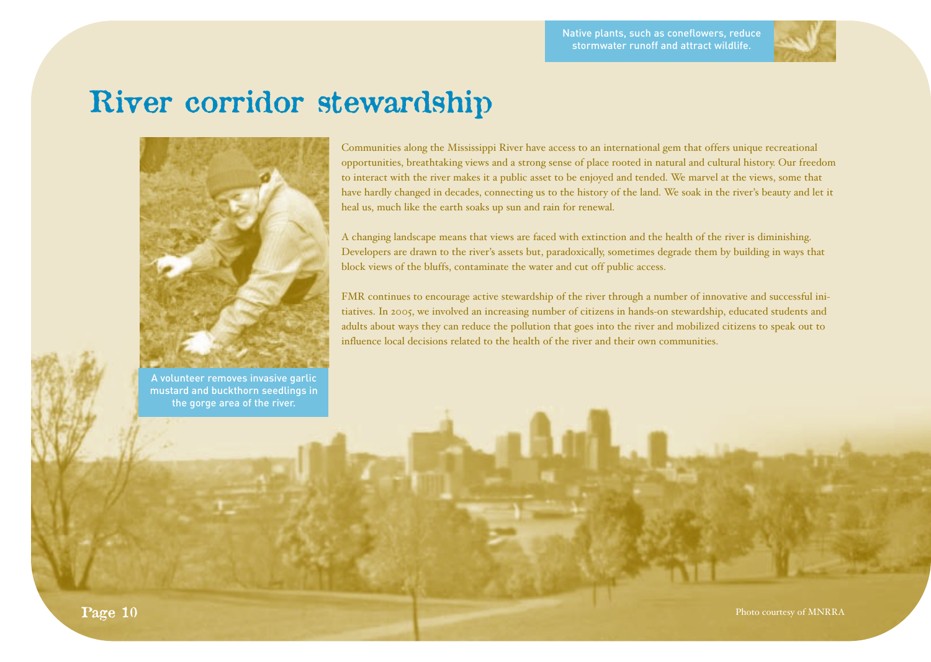

# **River corridor stewardship**



A volunteer removes invasive garlic mustard and buckthorn seedlings in the gorge area of the river.

Communities along the Mississippi River have access to an international gem that offers unique recreational opportunities, breathtaking views and a strong sense of place rooted in natural and cultural history. Our freedom to interact with the river makes it a public asset to be enjoyed and tended. We marvel at the views, some that have hardly changed in decades, connecting us to the history of the land. We soak in the river's beauty and let it heal us, much like the earth soaks up sun and rain for renewal.

A changing landscape means that views are faced with extinction and the health of the river is diminishing. Developers are drawn to the river's assets but, paradoxically, sometimes degrade them by building in ways that block views of the bluffs, contaminate the water and cut off public access.

FMR continues to encourage active stewardship of the river through a number of innovative and successful initiatives. In 2005, we involved an increasing number of citizens in hands-on stewardship, educated students and adults about ways they can reduce the pollution that goes into the river and mobilized citizens to speak out to influence local decisions related to the health of the river and their own communities.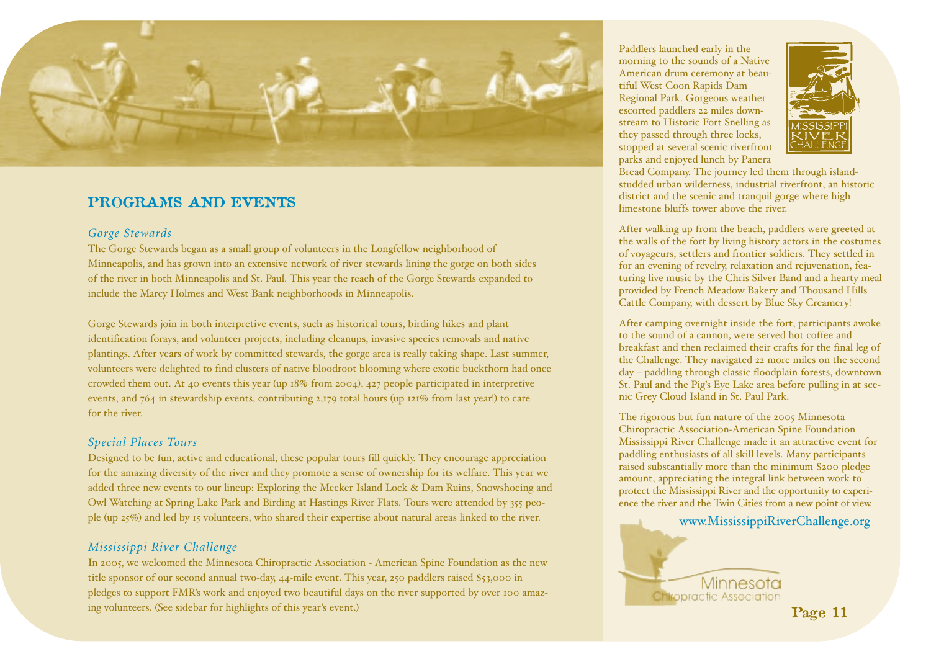

# **PROGRAMS AND EVENTS**

### *Gorge Stewards*

The Gorge Stewards began as a small group of volunteers in the Longfellow neighborhood of Minneapolis, and has grown into an extensive network of river stewards lining the gorge on both sides of the river in both Minneapolis and St. Paul. This year the reach of the Gorge Stewards expanded to include the Marcy Holmes and West Bank neighborhoods in Minneapolis.

Gorge Stewards join in both interpretive events, such as historical tours, birding hikes and plant identification forays, and volunteer projects, including cleanups, invasive species removals and native plantings. After years of work by committed stewards, the gorge area is really taking shape. Last summer, volunteers were delighted to find clusters of native bloodroot blooming where exotic buckthorn had once crowded them out. At 40 events this year (up 18% from 2004), 427 people participated in interpretive events, and 764 in stewardship events, contributing 2,179 total hours (up 121% from last year!) to care for the river.

### *Special Places Tours*

Designed to be fun, active and educational, these popular tours fill quickly. They encourage appreciation for the amazing diversity of the river and they promote a sense of ownership for its welfare. This year we added three new events to our lineup: Exploring the Meeker Island Lock & Dam Ruins, Snowshoeing and Owl Watching at Spring Lake Park and Birding at Hastings River Flats. Tours were attended by 355 people (up 25%) and led by 15 volunteers, who shared their expertise about natural areas linked to the river.

### *Mississippi River Challenge*

In 2005, we welcomed the Minnesota Chiropractic Association - American Spine Foundation as the new title sponsor of our second annual two-day, 44-mile event. This year, 250 paddlers raised \$53,000 in pledges to support FMR's work and enjoyed two beautiful days on the river supported by over 100 amazing volunteers. (See sidebar for highlights of this year's event.) **Page 11**

Paddlers launched early in the morning to the sounds of a Native American drum ceremony at beautiful West Coon Rapids Dam Regional Park. Gorgeous weather escorted paddlers 22 miles downstream to Historic Fort Snelling as they passed through three locks, stopped at several scenic riverfront parks and enjoyed lunch by Panera



Bread Company. The journey led them through islandstudded urban wilderness, industrial riverfront, an historic district and the scenic and tranquil gorge where high limestone bluffs tower above the river.

After walking up from the beach, paddlers were greeted at the walls of the fort by living history actors in the costumes of voyageurs, settlers and frontier soldiers. They settled in for an evening of revelry, relaxation and rejuvenation, featuring live music by the Chris Silver Band and a hearty meal provided by French Meadow Bakery and Thousand Hills Cattle Company, with dessert by Blue Sky Creamery!

After camping overnight inside the fort, participants awoke to the sound of a cannon, were served hot coffee and breakfast and then reclaimed their crafts for the final leg of the Challenge. They navigated 22 more miles on the second day – paddling through classic floodplain forests, downtown St. Paul and the Pig's Eye Lake area before pulling in at scenic Grey Cloud Island in St. Paul Park.

The rigorous but fun nature of the 2005 Minnesota Chiropractic Association-American Spine Foundation Mississippi River Challenge made it an attractive event for paddling enthusiasts of all skill levels. Many participants raised substantially more than the minimum \$200 pledge amount, appreciating the integral link between work to protect the Mississippi River and the opportunity to experience the river and the Twin Cities from a new point of view.

www.MississippiRiverChallenge.org

Minnesota **Chiropractic Association**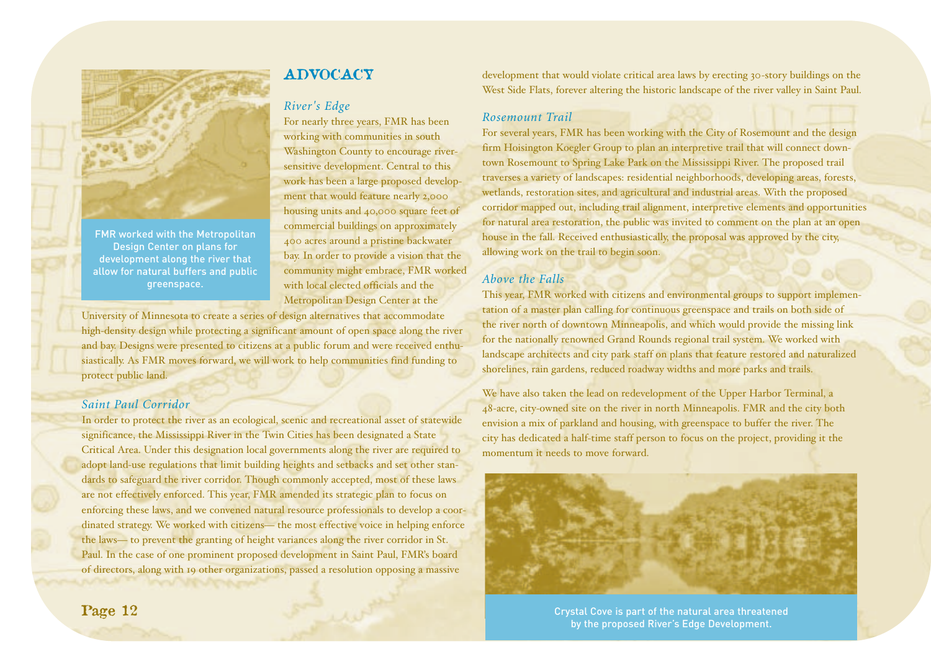

FMR worked with the Metropolitan Design Center on plans for development along the river that allow for natural buffers and public greenspace.

# **ADVOCACY**

# *River's Edge*

For nearly three years, FMR has been working with communities in south Washington County to encourage riversensitive development. Central to this work has been a large proposed development that would feature nearly 2,000 housing units and 40,000 square feet of commercial buildings on approximately 400 acres around a pristine backwater bay. In order to provide a vision that the community might embrace, FMR worked with local elected officials and the Metropolitan Design Center at the

University of Minnesota to create a series of design alternatives that accommodate high-density design while protecting a significant amount of open space along the river and bay. Designs were presented to citizens at a public forum and were received enthusiastically. As FMR moves forward, we will work to help communities find funding to protect public land.

### *Saint Paul Corridor*

In order to protect the river as an ecological, scenic and recreational asset of statewide significance, the Mississippi River in the Twin Cities has been designated a State Critical Area. Under this designation local governments along the river are required to adopt land-use regulations that limit building heights and setbacks and set other standards to safeguard the river corridor. Though commonly accepted, most of these laws are not effectively enforced. This year, FMR amended its strategic plan to focus on enforcing these laws, and we convened natural resource professionals to develop a coordinated strategy. We worked with citizens— the most effective voice in helping enforce the laws— to prevent the granting of height variances along the river corridor in St. Paul. In the case of one prominent proposed development in Saint Paul, FMR's board of directors, along with 19 other organizations, passed a resolution opposing a massive

development that would violate critical area laws by erecting 30-story buildings on the West Side Flats, forever altering the historic landscape of the river valley in Saint Paul.

#### *Rosemount Trail*

For several years, FMR has been working with the City of Rosemount and the design firm Hoisington Koegler Group to plan an interpretive trail that will connect downtown Rosemount to Spring Lake Park on the Mississippi River. The proposed trail traverses a variety of landscapes: residential neighborhoods, developing areas, forests, wetlands, restoration sites, and agricultural and industrial areas. With the proposed corridor mapped out, including trail alignment, interpretive elements and opportunities for natural area restoration, the public was invited to comment on the plan at an open house in the fall. Received enthusiastically, the proposal was approved by the city, allowing work on the trail to begin soon.

### *Above the Falls*

This year, FMR worked with citizens and environmental groups to support implementation of a master plan calling for continuous greenspace and trails on both side of the river north of downtown Minneapolis, and which would provide the missing link for the nationally renowned Grand Rounds regional trail system. We worked with landscape architects and city park staff on plans that feature restored and naturalized shorelines, rain gardens, reduced roadway widths and more parks and trails.

We have also taken the lead on redevelopment of the Upper Harbor Terminal, a 48-acre, city-owned site on the river in north Minneapolis. FMR and the city both envision a mix of parkland and housing, with greenspace to buffer the river. The city has dedicated a half-time staff person to focus on the project, providing it the momentum it needs to move forward.



Crystal Cove is part of the natural area threatened by the proposed River's Edge Development.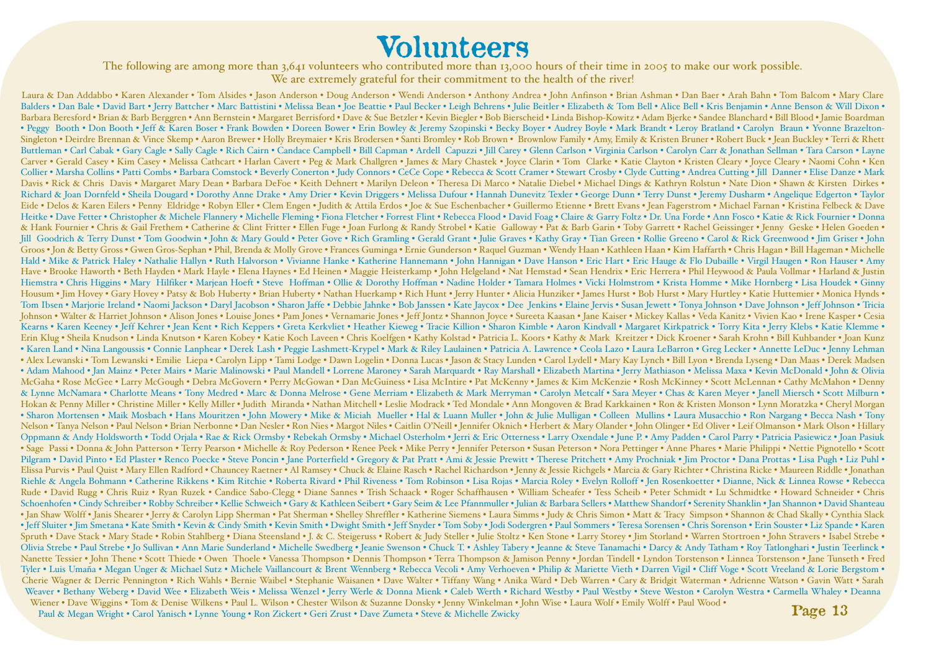# **Volunteers**

The following are among more than 3,641 volunteers who contributed more than 13,000 hours of their time in 2005 to make our work possible. We are extremely grateful for their commitment to the health of the river!

Laura & Dan Addabbo • Karen Alexander • Tom Alsides • Jason Anderson • Doug Anderson • Wendi Anderson • Anthony Andrea • John Anfinson • Brian Ashman • Dan Baer • Arah Bahn • Tom Balcom • Mary Clare Balders • Dan Bale • David Bart • Jerry Battcher • Marc Battistini • Melissa Bean • Joe Beattie • Paul Becker • Leigh Behrens • Julie Beitler • Elizabeth & Tom Bell • Alice Bell • Kris Benjamin • Anne Benson & Will Dixon • Barbara Beresford • Brian & Barb Berggren • Ann Bernstein • Margaret Berrisford • Dave & Sue Betzler • Kevin Biegler • Bob Bierscheid • Linda Bishop-Kowitz • Adam Bjerke • Sandee Blanchard • Bill Blood • Jamie Boardman • Peggy Booth • Don Booth • Jeff & Karen Boser • Frank Bowden • Doreen Bower • Erin Bowley & Jeremy Szopinski • Becky Boyer • Audrey Boyle • Mark Brandt • Leroy Bratland • Carolyn Braun • Yvonne Brazelton-Singleton • Deirdre Brennan & Vince Skemp • Aaron Brewer • Holly Breymaier • Kris Brodersen • Santi Bromley • Rob Brown • Brownlow Family • Amy, Emily & Kristen Bruner • Robert Buck • Jean Buckley • Terri & Rhett Buttleman • Carl Cabak • Gary Cagle • Sally Cagle • Rich Cairn • Candace Campbell • Bill Capman • Ardell Capuzzi • Jill Carey • Glenn Carlson • Virginia Carlson • Carolyn Carr & Jonathan Sellman • Tara Carson • Layne Carver • Gerald Casey • Kim Casey • Melissa Cathcart • Harlan Cavert • Peg & Mark Challgren • James & Mary Chastek • Joyce Clarin • Tom Clarke • Katie Clayton • Kristen Cleary • Joyce Cleary • Naomi Cohn • Ken Collier • Marsha Collins • Patti Combs • Barbara Comstock • Beverly Conerton • Judy Connors • CeCe Cope • Rebecca & Scott Cramer • Stewart Crosby • Clyde Cutting • Andrea Cutting • Jill Danner • Elise Danze • Mark Davis • Rick & Chris Davis • Margaret Mary Dean • Barbara DeFoe • Keith Dehnert • Marilyn Deleon • Theresa Di Marco • Natalie Diebel • Michael Dings & Kathryn Rolstun • Nate Dion • Shawn & Kirsten Dirkes • Richard & Joan Dornfeld • Sheila Dougard • Dorothy Anne Drake • Amy Drier • Kevin Driggers • Melissa Dufour • Hannah Dunevitz Texler • George Dunn • Terry Dunst • Jeremy Dusharm • Angelique Edgerton • Taylor Eide • Delos & Karen Eilers • Penny Eldridge • Robyn Eller • Clem Engen • Judith & Attila Erdos • Joe & Sue Eschenbacher • Guillermo Etienne • Brett Evans • Jean Fagerstrom • Michael Farnan • Kristina Felbeck & Dave Heitke • Dave Fetter • Christopher & Michele Flannery • Michelle Fleming • Fiona Fletcher • Forrest Flint • Rebecca Flood • David Foag • Claire & Garry Foltz • Dr. Una Forde • Ann Fosco • Katie & Rick Fournier • Donna & Hank Fournier • Chris & Gail Frethem • Catherine & Clint Fritter • Ellen Fuge • Joan Furlong & Randy Strobel • Katie Galloway • Pat & Barb Garin • Toby Garrett • Rachel Geissinger • Jenny Geske • Helen Goeden • Jill Goodrich & Terry Dunst • Tom Goodwin • John & Mary Gould • Peter Gove • Rich Gramling • Gerald Grant • Julie Graves • Kathy Gray • Tian Green • Rollie Greeno • Carol & Rick Greenwood • Jim Griser • John Groos • Jon & Betty Gross • Gwen Gros-Sephan • Phil, Brenda & Molly Grove • Frances Guminga • Ernie Gunderson • Raquel Guzman • Wendy Haan • Kathleen Haan • Kim Haffarth • Chris Hagan • Bill Hageman • Michelle Hald • Mike & Patrick Haley • Nathalie Hallyn • Ruth Halvorson • Vivianne Hanke • Katherine Hannemann • John Hannigan • Dave Hanson • Eric Hart • Eric Hauge & Flo Dubaille • Virgil Haugen • Ron Hauser • Amy Have • Brooke Haworth • Beth Hayden • Mark Hayle • Elena Haynes • Ed Heinen • Maggie Heisterkamp • John Helgeland • Nat Hemstad • Sean Hendrix • Eric Herrera • Phil Heywood & Paula Vollmar • Harland & Justin Hiemstra • Chris Higgins • Mary Hilfiker • Marjean Hoeft • Steve Hoffman • Ollie & Dorothy Hoffman • Nadine Holder • Tamara Holmes • Vicki Holmstrom • Krista Homme • Mike Hornberg • Lisa Houdek • Ginny Housum • Jim Hovey • Gary Hovey • Patsy & Bob Huberty • Brian Huberty • Nathan Huerkamp • Rich Hunt • Jerry Hunter • Alicia Hunziker • James Hurst • Bob Hurst • Mary Hurtley • Katie Huttemier • Monica Hynds • Tom Ibsen • Marjorie Ireland • Naomi Jackson • Daryl Jacobson • Sharon Jaffe • Debbie Jahnke • Bob Janssen • Kate Jaycox • Dee Jenkins • Elaine Jervis • Susan Jewett • Tonya Johnson • Dave Johnson • Jeff Johnson • Tricia Johnson • Walter & Harriet Johnson • Alison Jones • Louise Jones • Pam Jones • Vernamarie Jones • Jeff Jontz • Shannon Joyce • Sureeta Kaasan • Jane Kaiser • Mickey Kallas • Veda Kanitz • Vivien Kao • Irene Kasper • Cesia Kearns • Karen Keeney • Jeff Kehrer • Jean Kent • Rich Keppers • Greta Kerkvliet • Heather Kieweg • Tracie Killion • Sharon Kimble • Aaron Kindvall • Margaret Kirkpatrick • Torry Kita • Jerry Klebs • Katie Klemme • Erin Klug • Sheila Knudson • Linda Knutson • Karen Kobey • Katie Koch Laveen • Chris Koelfgen • Kathy Kolstad • Patricia L. Koors • Kathy & Mark Kreitzer • Dick Kroener • Sarah Krohn • Bill Kuhbander • Joan Kunz • Karen Land • Nina Langoussis • Connie Lanphear • Derek Lash • Peggie Lashmett-Krypel • Mark & Riley Laulainen • Patricia A. Lawrence • Ceola Lazo • Laura LeBarron • Greg Lecker • Annette LeDuc • Jenny Lehman • Alex Lewanski • Tom Lewanski • Emilie Liepa • Carolyn Lipp • Tami Lodge • Dawn Logelin • Donna Lucas • Jason & Stacy Lunden • Carol Lydell • Mary Kay Lynch • Bill Lyon • Brenda Lyseng • Dan Maas • Derek Madsen • Adam Mahood • Jan Mainz • Peter Mairs • Marie Malinowski • Paul Mandell • Lorrene Maroney • Sarah Marquardt • Ray Marshall • Elizabeth Martina • Jerry Mathiason • Melissa Maxa • Kevin McDonald • John & Olivia McGaha • Rose McGee • Larry McGough • Debra McGovern • Perry McGowan • Dan McGuiness • Lisa McIntire • Pat McKenny • James & Kim McKenzie • Rosh McKinney • Scott McLennan • Cathy McMahon • Denny & Lynne McNamara • Charlotte Means • Tony Medred • Marc & Donna Melrose • Gene Merriam • Elizabeth & Mark Merryman • Carolyn Metcalf • Sara Meyer • Chas & Karen Meyer • Janell Miersch • Scott Milburn • Hokan & Penny Miller • Christine Miller • Kelly Miller • Judith Miranda • Nathan Mitchell • Leslie Modrack • Ted Mondale • Ann Mongoven & Brad Karkkainen • Ron & Kristen Monson • Lynn Moratzka • Cheryl Morgan • Sharon Mortensen • Maik Mosbach • Hans Mouritzen • John Mowery • Mike & Miciah Mueller • Hal & Luann Muller • John & Julie Mulligan • Colleen Mullins • Laura Musacchio • Ron Nargang • Becca Nash • Tony Nelson • Tanya Nelson • Paul Nelson • Brian Nerbonne • Dan Nesler • Ron Nies • Margot Niles • Caitlin O'Neill • Jennifer Oknich • Herbert & Mary Olander • John Olinger • Ed Oliver • Leif Olmanson • Mark Olson • Hillary Oppmann & Andy Holdsworth • Todd Orjala • Rae & Rick Ormsby • Rebekah Ormsby • Michael Osterholm • Jerri & Eric Otterness • Larry Oxendale • June P. • Amy Padden • Carol Parry • Patricia Pasiewicz • Joan Pasiuk • Sage Passi • Donna & John Patterson • Terry Pearson • Michelle & Roy Pederson • Renee Peek • Mike Perry • Jennifer Peterson • Susan Peterson • Nora Pettinger • Anne Phares • Marie Philippi • Nettie Pignotello • Scott Pilgram • David Pinto • Ed Plaster • Renco Poecke • Steve Poncin • Jane Porterfield • Gregory & Pat Pratt • Ami & Jessie Prewitt • Therese Pritchett • Amy Prochniak • Jim Proctor • Dana Prottas • Lisa Pugh • Liz Puhl • Elissa Purvis • Paul Quist • Mary Ellen Radford • Chauncey Raetner • Al Ramsey • Chuck & Elaine Rasch • Rachel Richardson • Jenny & Jessie Richgels • Marcia & Gary Richter • Christina Ricke • Maureen Riddle • Jonathan Riehle & Angela Bohmann • Catherine Rikkens • Kim Ritchie • Roberta Rivard • Phil Riveness • Tom Robinson • Lisa Rojas • Marcia Roley • Evelyn Rolloff • Jen Rosenkoetter • Dianne, Nick & Linnea Rowse • Rebecca Rude • David Rugg • Chris Ruiz • Ryan Ruzek • Candice Sabo-Clegg • Diane Sannes • Trish Schaack • Roger Schaffhausen • William Scheafer • Tess Scheib • Peter Schmidt • Lu Schmidtke • Howard Schneider • Chris Schoenhofen • Cindy Schreiber • Robby Schreiber • Kellie Schweich • Gary & Kathleen Seibert • Gary Seim & Lee Pfannmuller • Julian & Barbara Sellers • Matthew Shandorf • Serenity Shanklin • Jan Shannon • David Shanteau • Jan Shaw Wolff • Janis Shearer • Jerry & Carolyn Lipp Sherman • Pat Sherman • Shelley Shreffler • Katherine Siemens • Laura Simms • Judy & Chris Simon • Matt & Tracy Simpson • Shannon & Chad Skally • Cynthia Slack • Jeff Sluiter • Jim Smetana • Kate Smith • Kevin & Cindy Smith • Kevin Smith • Dwight Smith • Jeff Snyder • Tom Soby • Jodi Sodergren • Paul Sommers • Teresa Sorensen • Chris Sorenson • Erin Souster • Liz Spande • Karen Spruth • Dave Stack • Mary Stade • Robin Stahlberg • Diana Steensland • J. & C. Steigeruss • Robert & Judy Steller • Julie Stoltz • Ken Stone • Larry Storey • Jim Storland • Warren Stortroen • John Stravers • Isabel Strebe • Olivia Strebe • Paul Strebe • Jo Sullivan • Ann Marie Sunderland • Michelle Swedberg • Jeanie Swenson • Chuck T. • Ashley Tabery • Jeanne & Steve Tanamachi • Darcy & Andy Tatham • Roy Tatlonghari • Justin Teerlinck • Nanette Tessier • John Thene • Scott Thiede • Owen Thoele • Vanessa Thompson • Dennis Thompson • Terra Thompson & Jamison Penny • Jordan Tindell • Lyndon Torstenson • Linnea Torstenson • Jane Tunseth • Fred Tyler • Luis Umaña • Megan Unger & Michael Sutz • Michele Vaillancourt & Brent Wennberg • Rebecca Vecoli • Amy Verhoeven • Philip & Mariette Vieth • Darren Vigil • Cliff Voge • Scott Vreeland & Lorie Bergstom • Cherie Wagner & Derric Pennington • Rich Wahls • Bernie Waibel • Stephanie Waisanen • Dave Walter • Tiffany Wang • Anika Ward • Deb Warren • Cary & Bridgit Waterman • Adrienne Watson • Gavin Watt • Sarah Weaver • Bethany Weberg • David Wee • Elizabeth Weis • Melissa Wenzel • Jerry Werle & Donna Mienk • Caleb Werth • Richard Westby • Paul Westby • Steve Weston • Carolyn Westra • Carmella Whaley • Deanna Wiener • Dave Wiggins • Tom & Denise Wilkens • Paul L. Wilson • Chester Wilson & Suzanne Donsky • Jenny Winkelman • John Wise • Laura Wolf • Emily Wolff • Paul Wood •

Paul & Megan Wright • Carol Yanisch • Lynne Young • Ron Zickert • Geri Zrust • Dave Zumeta • Steve & Michelle Zwicky

**Page 13**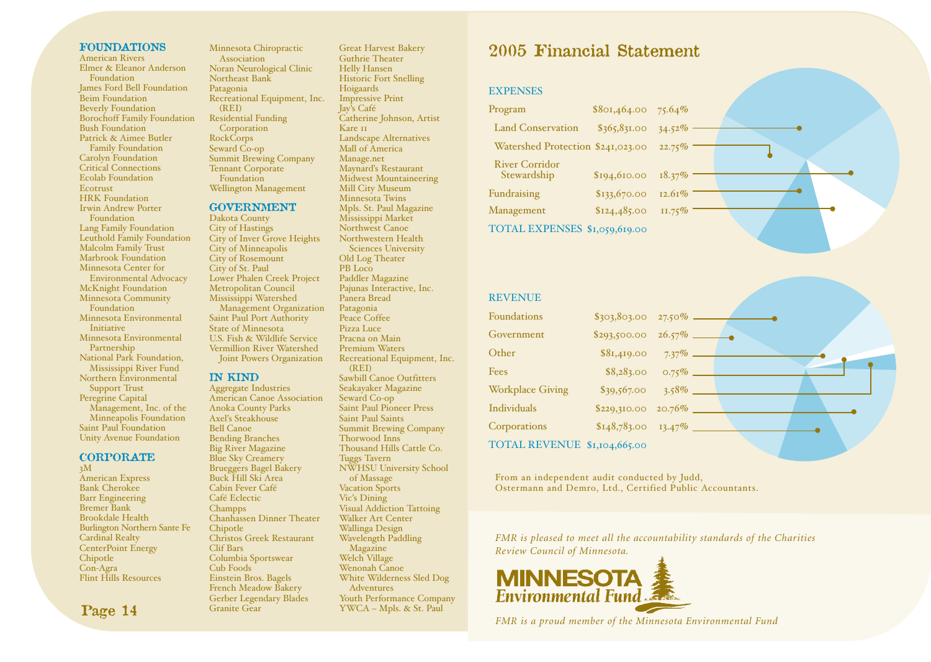#### **FOUNDATIONS**

American Rivers Elmer & Eleanor Anderson **Foundation** James Ford Bell Foundation **Beim Foundation** Beverly Foundation Borochoff Family Foundation Bush Foundation Patrick & Aimee Butler Family Foundation Carolyn Foundation Critical Connections Ecolab Foundation Ecotrust HRK Foundation Irwin Andrew Porter Foundation Lang Family Foundation Leuthold Family Foundation Malcolm Family Trust Marbrook Foundation Minnesota Center for Environmental Advocacy McKnight Foundation Minnesota Community Foundation Minnesota Environmental Initiative Minnesota Environmental Partnership National Park Foundation, Mississippi River Fund Northern Environmental Support Trust Peregrine Capital Management, Inc. of the Minneapolis Foundation Saint Paul Foundation Unity Avenue Foundation

**CORPORATE**

3M American Express Bank Cherokee Barr Engineering Bremer Bank Brookdale Health Burlington Northern Sante Fe Cardinal Realty CenterPoint Energy Chipotle Con-Agra Flint Hills Resources

Minnesota Chiropractic Association Noran Neurological Clinic Northeast Bank Patagonia Recreational Equipment, Inc. (REI) Residential Funding **Corporation** RockCorps Seward Co-op Summit Brewing Company Tennant Corporate Foundation Wellington Management

#### **GOVERNMENT**

Dakota County City of Hastings City of Inver Grove Heights City of Minneapolis City of Rosemount City of St. Paul Lower Phalen Creek Project Metropolitan Council Mississippi Watershed Management Organization Saint Paul Port Authority State of Minnesota U.S. Fish & Wildlife Service Vermillion River Watershed Joint Powers Organization

#### **IN KIND**

Aggregate Industries American Canoe Association Anoka County Parks Axel's Steakhouse Bell Canoe Bending Branches Big River Magazine Blue Sky Creamery Brueggers Bagel Bakery Buck Hill Ski Area Cabin Fever Café Café Eclectic Champps Chanhassen Dinner Theater **Chipotle** Christos Greek Restaurant Clif Bars Columbia Sportswear Cub Foods Einstein Bros. Bagels French Meadow Bakery Gerber Legendary Blades Granite Gear

Guthrie Theater Helly Hansen Historic Fort Snelling Hoigaards Impressive Print Jay's Café Catherine Johnson, Artist Kare 11 Landscape Alternatives Mall of America Manage.net Maynard's Restaurant Midwest Mountaineering Mill City Museum Minnesota Twins Mpls. St. Paul Magazine Mississippi Market Northwest Canoe Northwestern Health Sciences University Old Log Theater PB Loco Paddler Magazine Pajunas Interactive, Inc. Panera Bread Patagonia Peace Coffee Pizza Luce Pracna on Main Premium Waters Recreational Equipment, Inc. (REI) Sawbill Canoe Outfitters Seakayaker Magazine Seward Co-op Saint Paul Pioneer Press Saint Paul Saints Summit Brewing Company Thorwood Inns Thousand Hills Cattle Co. Tuggs Tavern NWHSU University School of Massage Vacation Sports Vic's Dining Visual Addiction Tattoing Walker Art Center Wallinga Design Wavelength Paddling Magazine Welch Village Wenonah Canoe White Wilderness Sled Dog Adventures

Youth Performance Company YWCA – Mpls. & St. Paul

Great Harvest Bakery

# **2005 Financial Statement**

#### **EXPENSES**

| Program                              | \$801,464.00 | 75.64% |
|--------------------------------------|--------------|--------|
| <b>Land Conservation</b>             | \$365,831.00 | 34.52% |
| Watershed Protection \$241,023.00    |              | 22.75% |
| <b>River Corridor</b><br>Stewardship | \$194,610.00 | 18.37% |
| Fundraising                          | \$133,670.00 | 12.61% |
| Management                           | \$124,485.00 | 11.75% |
| TOTAL EXPENSES \$1,059,619.00        |              |        |



| <b>REVENUE</b>               |                   |
|------------------------------|-------------------|
| <b>Foundations</b>           |                   |
| Government                   |                   |
| Other                        |                   |
| Fees                         | $$8,283.00$ 0.75% |
| <b>Workplace Giving</b>      |                   |
| <b>Individuals</b>           |                   |
| Corporations                 |                   |
| TOTAL REVENUE \$1,104,665.00 |                   |

From an independent audit conducted by Judd, Ostermann and Demro, Ltd., Certified Public Accountants.

*FMR is pleased to meet all the accountability standards of the Charities Review Council of Minnesota.*



*FMR is a proud member of the Minnesota Environmental Fund*

### **Page 14**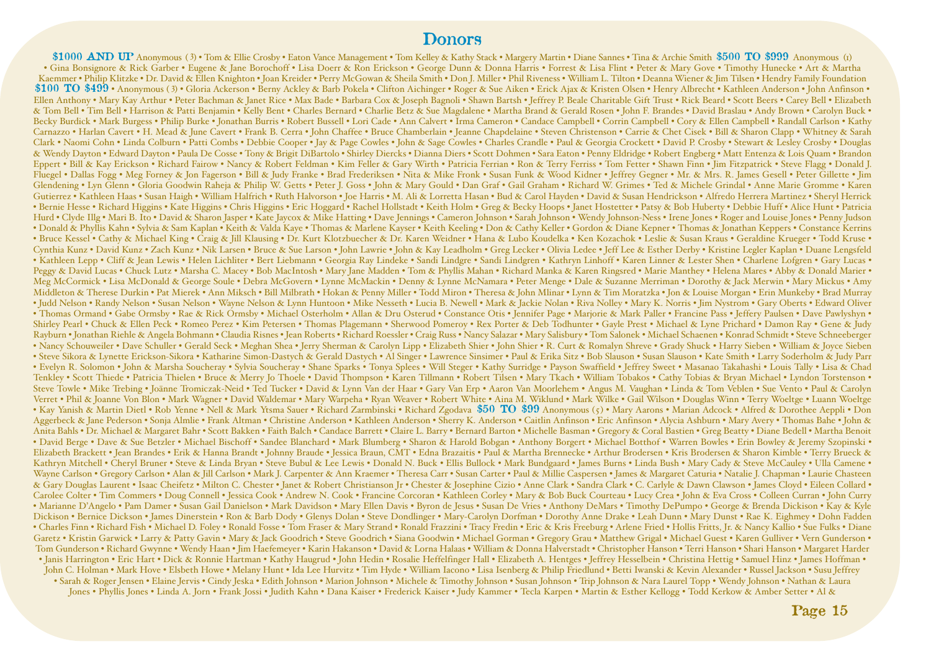# **Donors**

\$1000 AND UP Anonymous (3) • Tom & Ellie Crosby • Eaton Vance Management • Tom Kelley & Kathy Stack • Margery Martin • Diane Sannes • Tina & Archie Smith \$500 TO \$999 Anonymous (1) • Gina Bonsignore & Rick Garber • Eugene & Jane Borochoff • Lisa Doerr & Ron Erickson • George Dunn & Donna Harris • Forrest & Lisa Flint • Peter & Mary Gove • Timothy Hunecke • Art & Martha Kaemmer • Philip Klitzke • Dr. David & Ellen Knighton • Joan Kreider • Perry McGowan & Sheila Smith • Don J. Miller • Phil Riveness • William L. Tilton • Deanna Wiener & Jim Tilsen • Hendry Family Foundation \$100 TO \$499 • Anonymous (3) • Gloria Ackerson • Berny Ackley & Barb Pokela • Clifton Aichinger • Roger & Sue Aiken • Erick Ajax & Kristen Olsen • Henry Albrecht • Kathleen Anderson • John Anfinson • Ellen Anthony • Mary Kay Arthur • Peter Bachman & Janet Rice • Max Bade • Barbara Cox & Joseph Bagnoli • Shawn Bartsh • Jeffrey P. Beale Charitable Gift Trust • Rick Beard • Scott Beers • Carey Bell • Elizabeth & Tom Bell • Tim Bell • Harrison & Patti Benjamin • Kelly Bent • Charles Bernard • Charlie Betz & Sue Magdalene • Martha Brand & Gerald Rosen • John F. Brandes • David Braslau • Andy Brown • Carolyn Buck • Becky Burdick • Mark Burgess • Philip Burke • Jonathan Burris • Robert Bussell • Lori Cade • Ann Calvert • Irma Cameron • Candace Campbell • Corrin Campbell • Cory & Ellen Campbell • Randall Carlson • Kathy Carnazzo • Harlan Cavert • H. Mead & June Cavert • Frank B. Cerra • John Chaffee • Bruce Chamberlain • Jeanne Chapdelaine • Steven Christenson • Carrie & Chet Cisek • Bill & Sharon Clapp • Whitney & Sarah Clark • Naomi Cohn • Linda Colburn • Patti Combs • Debbie Cooper • Jay & Page Cowles • John & Sage Cowles • Charles Crandle • Paul & Georgia Crockett • David P. Crosby • Stewart & Lesley Crosby • Douglas & Wendy Dayton • Edward Dayton • Paula De Cosse • Tony & Brigit DiBartolo • Shirley Diercks • Dianna Diers • Scott Dohmen • Sara Eaton • Penny Eldridge • Robert Engberg • Matt Entenza & Lois Quam • Brandon Eppert • Bill & Kay Erickson • Richard Fairow • Nancy & Robert Feldman • Kim Feller & Gary Wirth • Patricia Ferrian • Ron & Terry Ferriss • Tom Fetter • Shawn Finn • Jim Fitzpatrick • Steve Flagg • Donald J. Fluegel • Dallas Fogg • Meg Forney & Jon Fagerson • Bill & Judy Franke • Brad Frederiksen • Nita & Mike Fronk • Susan Funk & Wood Kidner • Jeffrey Gegner • Mr. & Mrs. R. James Gesell • Peter Gillette • Jim Glendening • Lyn Glenn • Gloria Goodwin Raheja & Philip W. Getts • Peter J. Goss • John & Mary Gould • Dan Graf • Gail Graham • Richard W. Grimes • Ted & Michele Grindal • Anne Marie Gromme • Karen Gutierrez • Kathleen Haas • Susan Haigh • William Halfrich • Ruth Halvorson • Joe Harris • M. Ali & Lorretta Hasan • Bud & Carol Hayden • David & Susan Hendrickson • Alfredo Herrera Martinez • Sheryl Herrick • Bernie Hesse • Richard Higgins • Kate Higgins • Chris Higgins • Eric Hoggard • Rachel Hollstadt • Keith Holm • Greg & Becky Hoops • Janet Hostetter • Patsy & Bob Huberty • Debbie Huff • Alice Hunt • Patricia Hurd • Clyde Illg • Mari B. Ito • David & Sharon Jasper • Kate Jaycox & Mike Hatting • Dave Jennings • Cameron Johnson • Sarah Johnson • Wendy Johnson-Ness • Irene Jones • Roger and Louise Jones • Penny Judson • Donald & Phyllis Kahn • Sylvia & Sam Kaplan • Keith & Valda Kaye • Thomas & Marlene Kayser • Keith Keeling • Don & Cathy Keller • Gordon & Diane Kepner • Thomas & Jonathan Keppers • Constance Kerrins • Bruce Kessel • Cathy & Michael King • Craig & Jill Klausing • Dr. Kurt Klotzbuecher & Dr. Karen Weidner • Hana & Lubo Koudelka • Ken Kozachok • Leslie & Susan Kraus • Geraldine Krueger • Todd Kruse • Cynthia Kunz • David Kunz • Zach Kunz • Nik Larsen • Bruce & Sue Larson • John Lawrie • John & Kay Leadholm • Greg Lecker • Olivia Ledee • Jeff Lee & Esther Derby • Kristine Legler Kaplan • Duane Lengsfeld • Kathleen Lepp • Cliff & Jean Lewis • Helen Lichliter • Bert Liebmann • Georgia Ray Lindeke • Sandi Lindgre • Sandi Lindgren • Kathryn Linhoff • Karen Linner & Lester Shen • Charlene Lofgren • Gary Lucas • Peggy & David Lucas • Chuck Lutz • Marsha C. Macey • Bob MacIntosh • Mary Jane Madden • Tom & Phyllis Mahan • Richard Manka & Karen Ringsred • Marie Manthey • Helena Mares • Abby & Donald Marier • Meg McCormick • Lisa McDonald & George Soule • Debra McGovern • Lynne McMackin • Denny & Lynne McNamara • Peter Menge • Dale & Suzanne Merriman • Dorothy & Jack Merwin • Mary Mickus • Amy Middleton & Therese Durkin • Pat Mierek • Ann Miksch • Bill Milbrath • Hokan & Penny Miller • Todd Miron • Theresa & John Mlinar • Lynn & Tim Moratzka • Jon & Louise Morgan • Erin Munkeby • Brad Murray • Judd Nelson • Randy Nelson • Susan Nelson • Wayne Nelson & Lynn Huntoon • Mike Nesseth • Lucia B. Newell • Mark & Jackie Nolan • Riva Nolley • Mary K. Norris • Jim Nystrom • Gary Oberts • Edward Oliver • Thomas Ormand • Gabe Ormsby • Rae & Rick Ormsby • Michael Osterholm • Allan & Dru Osterud • Constance Otis • Jennifer Page • Marjorie & Mark Paller • Francine Pass • Jeffery Paulsen • Dave Pawlyshyn • Shirley Pearl • Chuck & Ellen Peck • Romeo Perez • Kim Petersen • Thomas Plagemann • Sherwood Pomeroy • Rex Porter & Deb Todhunter • Gayle Prest • Michael & Lyne Prichard • Damon Ray • Gene & Judy Rayburn • Jonathan Riehle & Angela Bohmann • Claudia Risnes • Jean Roberts • Richard Roessler • Craig Russ • Nancy Salazar • Mary Salisbury • Tom Salonek • Michael Schaenen • Konrad Schmidt • Steve Schneeberger • Nancy Schouweiler • Dave Schuller • Gerald Seck • Meghan Shea • Jerry Sherman & Carolyn Lipp • Elizabeth Shier • John Shier • R. Curt & Romalyn Shreve • Grady Shuck • Harry Sieben • William & Joyce Sieben • Steve Sikora & Lynette Erickson-Sikora • Katharine Simon-Dastych & Gerald Dastych • Al Singer • Lawrence Sinsimer • Paul & Erika Sitz • Bob Slauson • Susan Slauson • Kate Smith • Larry Soderholm & Judy Parr • Evelyn R. Solomon • John & Marsha Soucheray • Sylvia Soucheray • Shane Sparks • Tonya Splees • Will Steger • Kathy Surridge • Payson Swaffield • Jeffrey Sweet • Masanao Takahashi • Louis Tally • Lisa & Chad Tenkley • Scott Thiede • Patricia Thielen • Bruce & Merry Jo Thoele • David Thompson • Karen Tillmann • Robert Tilsen • Mary Tkach • William Tobakos • Cathy Tobias & Bryan Michael • Lyndon Torstenson • Steve Towle • Mike Trebing • Joänne Tromiczak-Neid • Ted Tucker • David & Lynn Van der Haar • Gary Van Erp • Aaron Van Moorlehem • Angus M. Vaughan • Linda & Tom Veblen • Sue Vento • Paul & Carolyn Verret • Phil & Joanne Von Blon • Mark Wagner • David Waldemar • Mary Warpeha • Ryan Weaver • Robert White • Aina M. Wiklund • Mark Wilke • Gail Wilson • Douglas Winn • Terry Woeltge • Luann Woeltge • Kay Yanish & Martin Dietl • Rob Yenne • Nell & Mark Ytsma Sauer • Richard Zarmbinski • Richard Zgodava **\$50 TO \$99** Anonymous (5) • Mary Aarons • Marian Adcock • Alfred & Dorothee Aeppli • Don Aggerbeck & Jane Pederson • Sonja Almlie • Frank Altman • Christine Anderson • Kathleen Anderson • Sherry K. Anderson • Caitlin Anfinson • Eric Anfinson • Alycia Ashburn • Mary Avery • Thomas Bahe • John & Anita Bahls • Dr. Michael & Margaret Bahr • Scott Bakken • Faith Balch • Candace Barrett • Claire L. Barry • Bernard Barton • Michelle Basman • Gregory & Coral Bastien • Greg Beatty • Diane Bedell • Martha Benoit • David Berge • Dave & Sue Betzler • Michael Bischoff • Sandee Blanchard • Mark Blumberg • Sharon & Harold Bobgan • Anthony Borgert • Michael Botthof • Warren Bowles • Erin Bowley & Jeremy Szopinski • Elizabeth Brackett • Jean Brandes • Erik & Hanna Brandt • Johnny Braude • Jessica Braun, CMT • Edna Brazaitis • Paul & Martha Brennecke • Arthur Brodersen • Kris Brodersen & Sharon Kimble • Terry Brueck & Kathryn Mitchell • Cheryl Bruner • Steve & Linda Bryan • Steve Bubul & Lee Lewis • Donald N. Buck • Ellis Bullock • Mark Bundgaard • James Burns • Linda Bush • Mary Cady & Steve McCauley • Ulla Camene • Wayne Carlson • Gregory Carlson • Alan & Jill Carlson • Mark J. Carpenter & Ann Kraemer • Theresa Carr • Susan Carter • Paul & Millie Caspersen • James & Margaret Caturia • Natalie J. Chapman • Laurie Chasteen & Gary Douglas Laurent • Isaac Cheifetz • Milton C. Chester • Janet & Robert Christianson Jr • Chester & Josephine Cizio • Anne Clark • Sandra Clark • C. Carlyle & Dawn Clawson • James Cloyd • Eileen Collard • Carolee Colter • Tim Commers • Doug Connell • Jessica Cook • Andrew N. Cook • Francine Corcoran • Kathleen Corley • Mary & Bob Buck Courteau • Lucy Crea • John & Eva Cross • Colleen Curran • John Curry • Marianne D'Angelo • Pam Damer • Susan Gail Danielson • Mark Davidson • Mary Ellen Davis • Byron de Jesus • Susan De Vries • Anthony DeMars • Timothy DePumpo • George & Brenda Dickison • Kay & Kyle Dickison • Bernice Dickson • James Dinerstein • Ron & Barb Dody • Glenys Dolan • Steve Dondlinger • Mary-Carolyn Dorfman • Dorothy Anne Drake • Leah Dunn • Mary Dunst • Rae K. Eighmey • Dohn Fadden • Charles Finn • Richard Fish • Michael D. Foley • Ronald Fosse • Tom Fraser & Mary Strand • Ronald Frazzini • Tracy Fredin • Eric & Kris Freeburg • Arlene Fried • Hollis Fritts, Jr. & Nancy Kallio • Sue Fulks • Diane Garetz • Kristin Garwick • Larry & Patty Gavin • Mary & Jack Goodrich • Steve Goodrich • Siana Goodwin • Michael Gorman • Gregory Grau • Matthew Grigal • Michael Guest • Karen Gulliver • Vern Gunderson • Tom Gunderson • Richard Gwynne • Wendy Haan • Jim Haefemeyer • Karin Hakanson • David & Lorna Halaas • William & Donna Halverstadt • Christopher Hanson • Terri Hanson • Shari Hanson • Margaret Harder • Janis Harrington • Eric Hart • Dick & Ronnie Hartman • Kathy Haugrud • John Hedin • Rosalie Heffelfinger Hall • Elizabeth A. Hentges • Jeffrey Hesselbein • Christina Hettig • Samuel Hinz • James Hoffman • John C. Holman • Mark Hove • Elsbeth Howe • Melany Hunt • Ida Lee Hurvitz • Tim Hyde • William Iacono • Lisa Isenberg & Philip Friedlund • Betti Iwanski & Kevin Alexander • Russel Jackson • Susu Jeffrey • Sarah & Roger Jensen • Elaine Jervis • Cindy Jeska • Edith Johnson • Marion Johnson • Michele & Timothy Johnson • Susan Johnson • Trip Johnson & Nara Laurel Topp • Wendy Johnson • Nathan & Laura Jones • Phyllis Jones • Linda A. Jorn • Frank Jossi • Judith Kahn • Dana Kaiser • Frederick Kaiser • Judy Kammer • Tecla Karpen • Martin & Esther Kellogg • Todd Kerkow & Amber Setter • Al &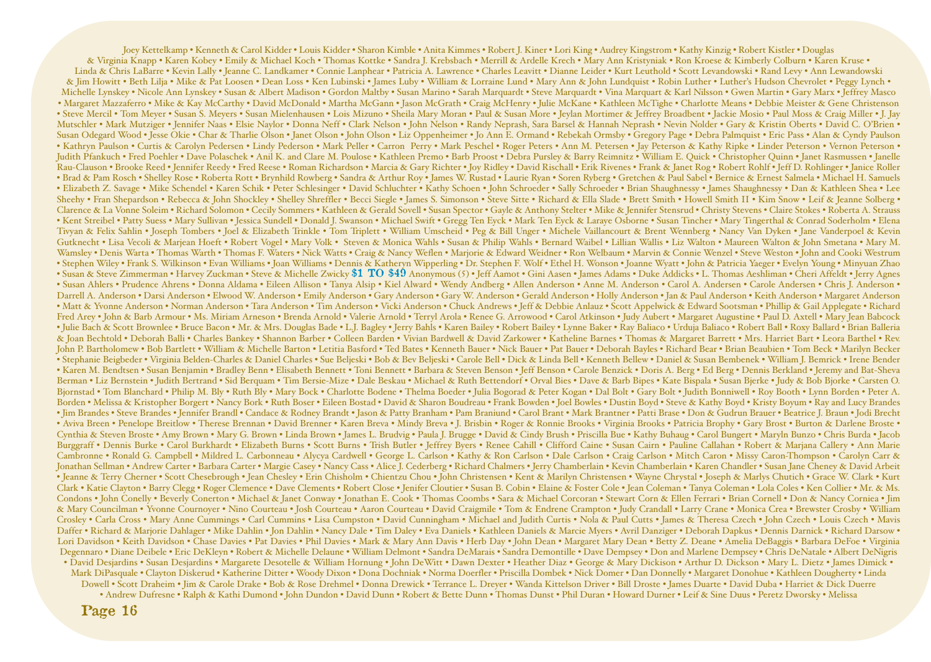Joey Kettelkamp • Kenneth & Carol Kidder • Louis Kidder • Sharon Kimble • Anita Kimmes • Robert J. Kiner • Lori King • Audrey Kingstrom • Kathy Kinzig • Robert Kistler • Douglas & Virginia Knapp • Karen Kobey • Emily & Michael Koch • Thomas Kottke • Sandra J. Krebsbach • Merrill & Ardelle Krech • Mary Ann Kristyniak • Ron Kroese & Kimberly Colburn • Karen Kruse • Linda & Chris LaBarre • Kevin Lally • Jeanne C. Landkamer • Connie Lanphear • Patricia A. Lawrence • Charles Leavitt • Dianne Leider • Kurt Leuthold • Scott Levandowski • Rand Levy • Ann Lewandowski & Jim Howitt • Beth Lilja • Mike & Pat Loosen • Dean Loss • Ken Lubinski • James Luby • William & Lorraine Lund • Mary Ann & John Lundquist • Robin Luther • Luther's Hudson Chevrolet • Peggy Lynch • Michelle Lynskey • Nicole Ann Lynskey • Susan & Albert Madison • Gordon Maltby • Susan Marino • Sarah Marquardt • Steve Marquardt • Vina Marquart & Karl Nilsson • Gwen Martin • Gary Marx • Jeffrey Masco • Margaret Mazzaferro • Mike & Kay McCarthy • David McDonald • Martha McGann • Jason McGrath • Craig McHenry • Julie McKane • Kathleen McTighe • Charlotte Means • Debbie Meister & Gene Christenson • Steve Mercil • Tom Meyer • Susan S. Meyers • Susan Mielenhausen • Lois Mizuno • Sheila Mary Moran • Paul & Susan More • Jeylan Mortimer & Jeffrey Broadbent • Jackie Mosio • Paul Moss & Craig Miller • J. Jay Mutschler • Mark Mutziger • Jennifer Naas • Elsie Naylor • Donna Neff • Clark Nelson • John Nelson • Randy Neprash, Sara Barsel & Hannah Neprash • Nevin Nolder • Gary & Kristin Oberts • David C. O'Brien • Susan Odegard Wood • Jesse Okie • Char & Tharlie Olson • Janet Olson • John Olson • Liz Oppenheimer • Jo Ann E. Ormand • Rebekah Ormsby • Gregory Page • Debra Palmquist • Eric Pass • Alan & Cyndy Paulson • Kathryn Paulson • Curtis & Carolyn Pedersen • Lindy Pederson • Mark Peller • Carron Perry • Mark Peschel • Roger Peters • Ann M. Petersen • Jay Peterson & Kathy Ripke • Linder Peterson • Vernon Peterson • Judith Pfankuch • Fred Poehler • Dave Polaschek • Anil K. and Clare M. Poulose • Kathleen Premo • Barb Proost • Debra Pursley & Barry Reimnitz • William E. Quick • Christopher Quinn • Janet Rasmussen • Janelle Rau-Clauson • Brooke Reed • Jennifer Reedy • Fred Reese • Roman Richardson • Marcia & Gary Richter • Joy Ridley • David Rischall • Erik Rivenes • Frank & Janet Rog • Robert Rohlf • Jeff D. Rohlinger • Janice Roller • Brad & Pam Rosch • Shelley Rose • Roberta Rott • Brynhild Rowberg • Sandra & Arthur Roy • James W. Rustad • Laurie Ryan • Soren Ryberg • Gretchen & Paul Sabel • Bernice & Ernest Salmela • Michael H. Samuels • Elizabeth Z. Savage • Mike Schendel • Karen Schik • Peter Schlesinger • David Schluchter • Kathy Schoen • John Schroeder • Sally Schroeder • Brian Shaughnessy • James Shaughnessy • Dan & Kathleen Shea • Lee Sheehy • Fran Shepardson • Rebecca & John Shockley • Shelley Shreffler • Becci Siegle • James S. Simonson • Steve Sitte • Richard & Ella Slade • Brett Smith • Howell Smith II • Kim Snow • Leif & Jeanne Solberg • Clarence & La Vonne Soleim • Richard Solomon • Cecily Sommers • Kathleen & Gerald Sovell • Susan Spector • Gayle & Anthony Stelter • Mike & Jennifer Stensrud • Christy Stevens • Claire Stokes • Roberta A. Strauss • Kent Streibel • Patty Suess • Mary Sullivan • Jessica Sundell • Donald J. Swanson • Michael Swift • Gregg Ten Eyck • Mark Ten Eyck & Laraye Osborne • Susan Tincher • Mary Tingerthal & Conrad Soderholm • Elena Tivyan & Felix Sahlin • Joseph Tombers • Joel & Elizabeth Trinkle • Tom Triplett • William Umscheid • Peg & Bill Unger • Michele Vaillancourt & Brent Wennberg • Nancy Van Dyken • Jane Vanderpoel & Kevin Gutknecht • Lisa Vecoli & Marjean Hoeft • Robert Vogel • Mary Volk • Steven & Monica Wahls • Susan & Philip Wahls • Bernard Waibel • Lillian Wallis • Liz Walton • Maureen Walton & John Smetana • Mary M. Wamsley • Denis Warta • Thomas Warth • Thomas F. Waters • Nick Watts • Craig & Nancy Weflen • Marjorie & Edward Weidner • Ron Welbaum • Marvin & Connie Wenzel • Steve Weston • John and Cooki Westrum • Stephen Wiley • Frank S. Wilkinson • Evan Williams • Joan Williams • Dennis & Katheryn Wipperling • Dr. Stephen F. Wolf • Ethel H. Wonson • Joanne Wyatt • John & Patricia Yaeger • Evelyn Young • Minyuan Zhao • Susan & Steve Zimmerman • Harvey Zuckman • Steve & Michelle Zwicky **\$1 TO \$49** Anonymous ( <sup>5</sup> ) • Jeff Aamot • Gini Aasen • James Adams • Duke Addicks • L. Thomas Aeshliman • Cheri Affeldt • Jerry Agnes • Susan Ahlers • Prudence Ahrens • Donna Aldama • Eileen Allison • Tanya Alsip • Kiel Alward • Wendy Andberg • Allen Anderson • Anne M. Anderson • Carol A. Andersen • Carole Andersen • Chris J. Anderson • Darrell A. Anderson • Darsi Anderson • Elwood W. Anderson • Emily Anderson • Gary Anderson • Gary W. Anderson • Gerald Anderson • Holly Anderson • Jan & Paul Anderson • Keith Anderson • Margaret Anderson • Margaret Anderso • Matt & Yvonne Anderson • Norman Anderson • Tara Anderson • Tim Anderson • Vicki Anderson • Chuck Andrews • Jeff & Debbie Anlauz • Scott Appelwick & Edward Sootsman • Phillip & Gail Applegate • Richard Fred Arey • John & Barb Armour • Ms. Miriam Arneson • Brenda Arnold • Valerie Arnold • Terryl Arola • Renee G. Arrowood • Carol Atkinson • Judy Aubert • Margaret Augustine • Paul D. Axtell • Mary Jean Babcock • Julie Bach & Scott Brownlee • Bruce Bacon • Mr. & Mrs. Douglas Bade • L.J. Bagley • Jerry Bahls • Karen Bailey • Robert Bailey • Lynne Baker • Ray Baliaco • Urduja Baliaco • Robert Ball • Roxy Ballard • Brian Balleria & Joan Bechtold • Deborah Balli • Charles Bankey • Shannon Barber • Colleen Barden • Vivian Bardwell & David Zarkower • Katheline Barnes • Thomas & Margaret Barrett • Mrs. Harriet Bart • Leora Barthel • Rev. John P. Bartholomew • Bob Bartlett • William & Michelle Barton • Letitia Basford • Ted Bates • Kenneth Bauer • Nick Bauer • Pat Bauer • Deborah Bayles • Richard Bear • Brian Beaubien • Tom Beck • Marilyn Becker • Stephanie Beigbeder • Virginia Belden-Charles & Daniel Charles • Sue Beljeski • Bob & Bev Beljeski • Carole Bell • Dick & Linda Bell • Kenneth Bellew • Daniel & Susan Bembenek • William J. Bemrick • Irene Bender • Karen M. Bendtsen • Susan Benjamin • Bradley Benn • Elisabeth Bennett • Toni Bennett • Barbara & Steven Benson • Jeff Benson • Carole Benzick • Doris A. Berg • Ed Berg • Dennis Berkland • Jeremy and Bat-Sheva Berman • Liz Bernstein • Judith Bertrand • Sid Berquam • Tim Bersie-Mize • Dale Beskau • Michael & Ruth Bettendorf • Orval Bies • Dave & Barb Bipes • Kate Bispala • Susan Bjerke • Judy & Bob Bjorke • Carsten O. Bjornstad • Tom Blanchard • Philip M. Bly • Ruth Bly • Mary Bock • Charlotte Bodene • Thelma Boeder • Julia Bogorad & Peter Kogan • Dal Bolt • Gary Bolt • Judith Bonniwell • Roy Booth • Lynn Borden • Peter A. Borden • Melissa & Kristopher Borgert • Nancy Bork • Ruth Boser • Eileen Bostad • David & Sharon Boudreau • Frank Bowden • Joel Bowles • Dustin Boyd • Steve & Kathy Boyd • Kristy Boyum • Ray and Lucy Brandes • Jim Brandes • Steve Brandes • Jennifer Brandl • Candace & Rodney Brandt • Jason & Patty Branham • Pam Braniund • Carol Brant • Mark Brantner • Patti Brase • Don & Gudrun Brauer • Beatrice J. Braun • Jodi Brecht • Aviva Breen • Penelope Breitlow • Therese Brennan • David Brenner • Karen Breva • Mindy Breva • J. Brisbin • Roger & Ronnie Brooks • Virginia Brooks • Patricia Brophy • Gary Brost • Burton & Darlene Broste • Cynthia & Steven Broste • Amy Brown • Mary G. Brown • Linda Brown • James L. Brudvig • Paula J. Brugge • David & Cindy Brush • Priscilla Bue • Kathy Buhaug • Carol Bungert • Maryln Bunzo • Chris Burda • Jacob Burggraff • Dennis Burke • Carol Burkhardt • Elizabeth Burns • Scott Burns • Trish Butler • Jeffrey Byers • Renee Cahill • Clifford Caine • Susan Cairn • Pauline Callahan • Robert & Marjana Callery • Ann Marie Cambronne • Ronald G. Campbell • Mildred L. Carbonneau • Alycya Cardwell • George L. Carlson • Kathy & Ron Carlson • Dale Carlson • Craig Carlson • Mitch Caron • Missy Caron-Thompson • Carolyn Carr & Jonathan Sellman • Andrew Carter • Barbara Carter • Margie Casey • Nancy Cass • Alice J. Cederberg • Richard Chalmers • Jerry Chamberlain • Kevin Chamberlain • Karen Chandler • Susan Jane Cheney & David Arbeit • Jeanne & Terry Cherner • Scott Chesebrough • Jean Chesley • Erin Chisholm • Chientzu Chou • John Christensen • Kent & Marilyn Christensen • Wayne Chrystal • Joseph & Marlys Chutich • Grace W. Clark • Kurt Clark • Katie Clayton • Barry Clegg • Roger Clemence • Dave Clements • Robert Close • Jenifer Cloutier • Susan B. Cobin • Elaine & Foster Cole • Jean Coleman • Tanya Coleman • Lola Coles • Ken Collier • Mr. & Ms. Condons • John Conelly • Beverly Conerton • Michael & Janet Conway • Jonathan E. Cook • Thomas Coombs • Sara & Michael Corcoran • Stewart Corn & Ellen Ferrari • Brian Cornell • Don & Nancy Corniea • Jim & Mary Councilman • Yvonne Cournoyer • Nino Courteau • Josh Courteau • Aaron Courteau • David Craigmile • Tom & Endrene Crampton • Judy Crandall • Larry Crane • Monica Crea • Brewster Crosby • William Crosley • Carla Cross • Mary Anne Cummings • Carl Cummins • Lisa Cumpston • David Cunningham • Michael and Judith Curtis • Nola & Paul Cutts • James & Theresa Czech • John Czech • Louis Czech • Mavis Daffer • Richard & Marjorie Dahlager • Mike Dahlin • Jon Dahlin • Nancy Dale • Tim Daley • Eva Daniels • Kathleen Daniels & Marcie Myers • Avril Danziger • Deborah Dapkus • Dennis Darnick • Richard Darsow • Lori Davidson • Keith Davidson • Chase Davies • Pat Davies • Phil Davies • Mark & Mary Ann Davis • Herb Day • John Dean • Margaret Mary Dean • Betty Z. Deane • Amelia DeBaggis • Barbara DeFoe • Virginia Degennaro • Diane Deibele • Eric DeKleyn • Robert & Michelle Delaune • William Delmont • Sandra DeMarais • Sandra Demontille • Dave Dempsey • Don and Marlene Dempsey • Chris DeNatale • Albert DeNigris • David Desjardins • Susan Desjardins • Margarete Desotelle & William Hornung • John DeWitt • Dawn Dexter • Heather Diaz • George & Mary Dickison • Arthur D. Dickson • Mary L. Dietz • James Dimick • Mark DiPasquale • Clayton Diskerud • Katherine Ditter • Woody Dixon • Dona Dochniak • Norma Doerfler • Priscilla Dombek • Nick Domer • Dan Donnelly • Margaret Donohue • Kathleen Dougherty • Linda Dowell • Scott Draheim • Jim & Carole Drake • Bob & Rose Drehmel • Donna Drewick • Terrance L. Dreyer • Wanda Kittelson Driver • Bill Droste • James Duarte • David Duba • Harriet & Dick Duerre • Andrew Dufresne • Ralph & Kathi Dumond • John Dundon • David Dunn • Robert & Bette Dunn • Thomas Dunst • Phil Duran • Howard Durner • Leif & Sine Duus • Peretz Dworsky • Melissa

**Page 16**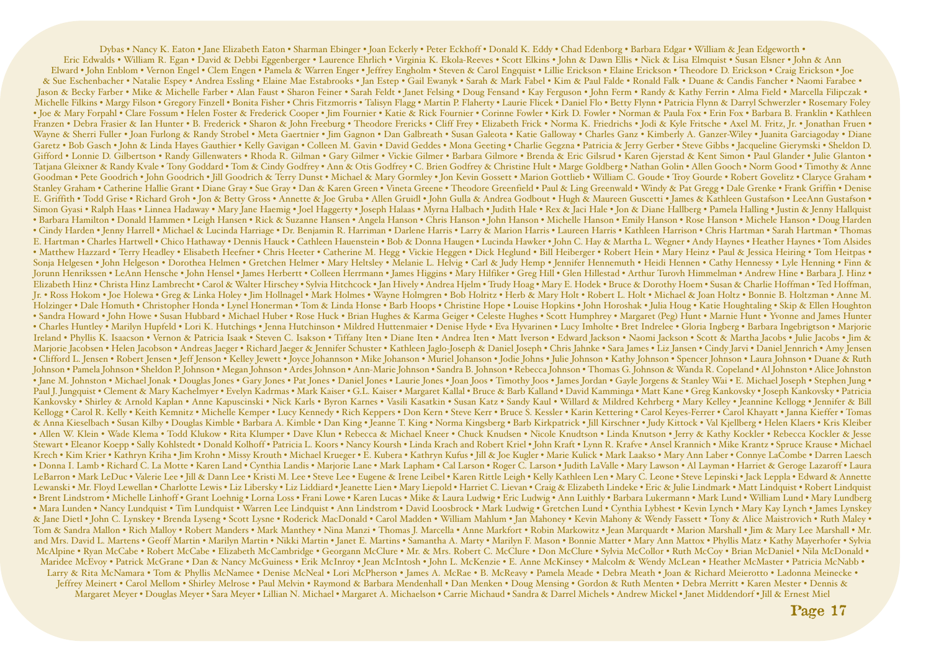Dybas • Nancy K. Eaton • Jane Elizabeth Eaton • Sharman Ebinger • Joan Eckerly • Peter Eckhoff • Donald K. Eddy • Chad Edenborg • Barbara Edgar • William & Jean Edgeworth • Eric Edwalds • William R. Egan • David & Debbi Eggenberger • Laurence Ehrlich • Virginia K. Ekola-Reeves • Scott Elkins • John & Dawn Ellis • Nick & Lisa Elmquist • Susan Elsner • John & Ann Elward • John Enblom • Vernon Engel • Clem Engen • Pamela & Warren Enger • Jeffrey Engholm • Steven & Carol Engquist • Lillie Erickson • Elaine Erickson • Theodore D. Erickson • Craig Erickson • Joe & Sue Eschenbacher • Natalie Espey • Andrea Essling • Elaine Mae Estabrooks • Jan Estep • Gail Ewanyk • Sarah & Mark Fabel • Kim & Paul Falde • Ronald Falk • Duane & Candis Fancher • Naomi Farabee • Jason & Becky Farber • Mike & Michelle Farber • Alan Faust • Sharon Feiner • Sarah Feldt • Janet Felsing • Doug Fensand • Kay Ferguson • John Ferm • Randy & Kathy Ferrin • Alma Field • Marcella Filipczak • Michelle Filkins • Margy Filson • Gregory Finzell • Bonita Fisher • Chris Fitzmorris • Talisyn Flagg • Martin P. Flaherty • Laurie Flicek • Daniel Flo • Betty Flynn • Patricia Flynn & Darryl Schwerzler • Rosemary Foley • Joe & Mary Forpahl • Clare Fossum • Helen Foster & Frederick Cooper • Jim Fournier • Katie & Rick Fournier • Corinne Fowler • Kirk D. Fowler • Norman & Paula Fox • Erin Fox • Barbara B. Franklin • Kathleen Franzen • Debra Frasier & Ian Hunter • B. Frederick • Sharon & John Freeburg • Theodore Frericks • Cliff Frey • Elizabeth Frick • Norma K. Friedrichs • Jodi & Kyle Fritsche • Axel M. Fritz, Jr. • Jonathan Fruen • Wayne & Sherri Fuller • Joan Furlong & Randy Strobel • Meta Gaertnier • Jim Gagnon • Dan Galbreath • Susan Galeota • Katie Galloway • Charles Ganz • Kimberly A. Ganzer-Wiley • Juanita Garciagoday • Diane Garetz • Bob Gasch • John & Linda Hayes Gauthier • Kelly Gavigan • Colleen M. Gavin • David Geddes • Mona Geeting • Charlie Gegzna • Patricia & Jerry Gerber • Steve Gibbs • Jacqueline Gierymski • Sheldon D. Gifford • Lonnie D. Gilbertson • Randy Gillenwaters • Rhoda R. Gilman • Gary Gilmer • Vickie Gilmer • Barbara Gilmore • Brenda & Eric Gilsrud • Karen Gjerstad & Kent Simon • Paul Glander • Julie Glanton • Tatjana Gleixner & Randy Kvale • Tony Goddard • Tom & Cindy Godfrey • Ann & Otis Godfrey • C. Brien Godfrey & Christine Hult • Marge Goldberg • Nathan Golin • Allen Gooch • Norm Good • Timothy & Anne Goodman • Pete Goodrich • John Goodrich • Jill Goodrich & Terry Dunst • Michael & Mary Gormley • Jon Kevin Gossett • Marion Gottlieb • William C. Goude • Troy Gourde • Robert Govelitz • Claryce Graham • Stanley Graham • Catherine Hallie Grant • Diane Gray • Sue Gray • Dan & Karen Green • Vineta Greene • Theodore Greenfield • Paul & Ling Greenwald • Windy & Pat Gregg • Dale Grenke • Frank Griffin • Denise E. Griffith • Todd Grise • Richard Groh • Jon & Betty Gross • Annette & Joe Gruba • Allen Gruidl • John Gulla & Andrea Godbout • Hugh & Maureen Guscetti • James & Kathleen Gustafson • LeeAnn Gustafson • LeeAnn Gustafson • Simon Gyasi • Ralph Haas • Linnea Hadaway • Mary Jane Haemig • Joel Haggerty • Joseph Halaas • Myrna Halbach • Judith Hale • Rex & Jaci Hale • Jon & Diane Hallberg • Pamela Halling • Justin & Jenny Hallquist • Barbara Hamilton • Donald Hammen • Leigh Hansen • Rick & Suzanne Hansen • Angela Hanson • Chris Hanson • John Hanson • Michelle Hanson • Emily Hanson • Rose Hanson • Michele Hanson • Doug Harden • Cindy Harden • Jenny Harrell • Michael & Lucinda Harriage • Dr. Benjamin R. Harriman • Darlene Harris • Larry & Marion Harris • Laureen Harris • Kathleen Harrison • Chris Hartman • Sarah Hartman • Thomas E. Hartman • Charles Hartwell • Chico Hathaway • Dennis Hauck • Cathleen Hauenstein • Bob & Donna Haugen • Lucinda Hawker • John C. Hay & Martha L. Wegner • Andy Haynes • Heather Haynes • Tom Alsides • Matthew Hazzard • Terry Headley • Elisabeth Heefner • Chris Heeter • Catherine M. Hegg • Vickie Heggen • Dick Heglund • Bill Heiberger • Robert Hein • Mary Heinz • Paul & Jessica Heiring • Tom Heitpas • Sonja Helgesen • John Helgeson • Dorothea Helmen • Gretchen Helmer • Mary Heltsley • Melanie L. Helvig • Carl & Judy Hemp • Jennifer Hennemuth • Heidi Hennen • Cathy Hennessy • Lyle Henning • Finn & Jorunn Henrikssen • LeAnn Hensche • John Hensel • James Herbertt • Colleen Herrmann • James Higgins • Mary Hilfiker • Greg Hill • Glen Hillestad • Arthur Turovh Himmelman • Andrew Hine • Barbara J. Hinz • Elizabeth Hinz • Christa Hinz Lambrecht • Carol & Walter Hirschey • Sylvia Hitchcock • Jan Hively • Andrea Hjelm • Trudy Hoag • Mary E. Hodek • Bruce & Dorothy Hoem • Susan & Charlie Hoffman • Ted Hoffman, Jr. • Ross Hokom • Joe Holewa • Greg & Linka Holey • Jim Hollnagel • Mark Holmes • Wayne Holmgren • Bob Holritz • Herb & Mary Holt • Robert L. Holt • Michael & Joan Holtz • Bonnie B. Holtzman • Anne M. Holzinger • Dale Homuth • Christopher Honda • Lynel Honerman • Tom & Linda Honse • Barb Hoops • Christine Hope • Louise Hopkins • John Horoshak • Julia Houg • Katie Houghtaling • Skip & Ellen Houghton • Sandra Howard • John Howe • Susan Hubbard • Michael Huber • Rose Huck • Brian Hughes & Karma Geiger • Celeste Hughes • Scott Humphrey • Margaret (Peg) Hunt • Marnie Hunt • Yvonne and James Hunter • Charles Huntley • Marilyn Hupfeld • Lori K. Hutchings • Jenna Hutchinson • Mildred Huttenmaier • Denise Hyde • Eva Hyvarinen • Lucy Imholte • Bret Indrelee • Gloria Ingberg • Barbara Ingebrigtson • Marjorie Ireland • Phyllis K. Isaacson • Vernon & Patricia Isaak • Steven C. Isakson • Tiffany Iten • Diane Iten • Andrea Iten • Matt Iverson • Edward Jackson • Naomi Jackson • Scott & Martha Jacobs • Julie Jacobs • Jim & Marjorie Jacobsen • Helen Jacobson • Andreas Jaeger • Richard Jaeger & Jennifer Schuster • Kathleen Jaglo-Joseph & Daniel Joseph • Chris Jahnke • Sara James • Liz Jansen • Cindy Jarvi • Daniel Jennrich • Amy Jensen • Clifford L. Jensen • Robert Jensen • Jeff Jenson • Kelley Jewett • Joyce Johannson • Mike Johanson • Muriel Johanson • Jodie Johns • Julie Johnson • Kathy Johnson • Spencer Johnson • Laura Johnson • Duane & Ruth Johnson • Pamela Johnson • Sheldon P. Johnson • Megan Johnson • Ardes Johnson • Ann-Marie Johnson • Sandra B. Johnson • Rebecca Johnson • Thomas G. Johnson & Wanda R. Copeland • Al Johnston • Alice Johnston • Alice Johnson • Jane M. Johnston • Michael Jonak • Douglas Jones • Gary Jones • Pat Jones • Daniel Jones • Laurie Jones • Joan Joos • Timothy Joos • James Jordan • Gayle Jorgens & Stanley Wai • E. Michael Joseph • Stephen Jung • Paul J. Jungquist • Clement & Mary Kachelmyer • Evelyn Kadrmas • Mark Kaiser • G.L. Kaiser • Margaret Kallal • Bruce & Barb Kalland • David Kamminga • Matt Kane • Greg Kankovsky • Joseph Kankovsky • Patricia Kankovsky • Shirley & Arnold Kaplan • Anne Kapuscinski • Nick Karls • Byron Karnes • Vasili Kasatkin • Susan Katz • Sandy Kaul • Willard & Mildred Kehrberg • Mary Kelley • Jeannine Kellogg • Jennifer & Bill Kellogg • Carol R. Kelly • Keith Kemnitz • Michelle Kemper • Lucy Kennedy • Rich Keppers • Don Kern • Steve Kerr • Bruce S. Kessler • Karin Kettering • Carol Keyes-Ferrer • Carol Khayatt • Janna Kieffer • Tomas & Anna Kieselbach • Susan Kilby • Douglas Kimble • Barbara A. Kimble • Dan King • Jeanne T. King • Norma Kingsberg • Barb Kirkpatrick • Jill Kirschner • Judy Kittock • Val Kjellberg • Helen Klaers • Kris Kleiber • Allen W. Klein • Wade Klema • Todd Klukow • Rita Klumper • Dave Klun • Rebecca & Michael Kneer • Chuck Knudsen • Nicole Knudtson • Linda Knutson • Jerry & Kathy Kockler • Rebecca Kockler & Jesse Stewart • Eleanor Koepp • Sally Kohlstedt • Donald Kolhoff • Patricia L. Koors • Nancy Koursh • Linda Krach and Robert Kriel • John Kraft • Lynn R. Krafve • Ansel Krannich • Mike Krantz • Spruce Krause • Michael Krech • Kim Krier • Kathryn Kriha • Jim Krohn • Missy Krouth • Michael Krueger • E. Kubera • Kathryn Kufus • Jill & Joe Kugler • Marie Kulick • Mark Laakso • Mary Ann Laber • Connye LaCombe • Darren Laesch • Donna I. Lamb • Richard C. La Motte • Karen Land • Cynthia Landis • Marjorie Lane • Mark Lapham • Cal Larson • Roger C. Larson • Judith LaValle • Mary Lawson • Al Layman • Harriet & Geroge Lazaroff • Laura LeBarron • Mark LeDuc • Valerie Lee • Jill & Dann Lee • Kristi M. Lee • Steve Lee • Eugene & Irene Leibel • Karen Rittle Leigh • Kelly Kathleen Len • Mary C. Leone • Steve Lepinski • Jack Leppla • Edward & Annette Lewanski • Mr. Floyd Lewellan • Charlotte Lewis • Liz Libersky • Liz Liddiard • Jeanette Lien • Mary Liepold • Harriet C. Lievan • Craig & Elizabeth Lindeke • Eric & Julie Lindmark • Matt Lindquist • Robert Lindquist • Brent Lindstrom • Michelle Linhoff • Grant Loehnig • Lorna Loss • Frani Lowe • Karen Lucas • Mike & Laura Ludwig • Eric Ludwig • Ann Luithly • Barbara Lukermann • Mark Lund • William Lund • Mary Lundberg • Mara Lunden • Nancy Lundquist • Tim Lundquist • Warren Lee Lindquist • Ann Lindstrom • David Loosbrock • Mark Ludwig • Gretchen Lund • Cynthia Lybhest • Kevin Lynch • Mary Kay Lynch • James Lynskey & Jane Dietl • John C. Lynskey • Brenda Lyseng • Scott Lysne • Roderick MacDonald • Carol Madden • William Mahlum • Jan Mahoney • Kevin Mahony & Wendy Fassett • Tony & Alice Maistrovich • Ruth Maley • Tom & Sandra Mallon • Rich Malloy • Robert Manders • Mark Manthey • Nina Manzi • Thomas J. Marcella • Anne Markfort • Robin Markowitz • Jean Marquardt • Marion Marshall • Jim & Mary Lee Marshall • Mr. and Mrs. David L. Martens • Geoff Martin • Marilyn Martin • Nikki Martin • Janet E. Martins • Samantha A. Marty • Marilyn F. Mason • Bonnie Matter • Mary Ann Mattox • Phyllis Matz • Kathy Mayerhofer • Sylvia McAlpine • Ryan McCabe • Robert McCabe • Elizabeth McCambridge • Georgann McClure • Mr. & Mrs. Robert C. McClure • Don McClure • Sylvia McCollor • Ruth McCoy • Brian McDaniel • Nila McDonald • Maridee McEvoy • Patrick McGrane • Dan & Nancy McGuiness • Erik McInroy • Jean McIntosh • John L. McKenzie • E. Anne McKinsey • Malcolm & Wendy McLean • Heather McMaster • Patricia McNabb • Larry & Rita McNamara • Tom & Phyllis McNamee • Denise McNeal • Lori McPherson • James A. McRae • B. McReavy • Pamela Meade • Debra Meath • Joan & Richard Meierotto • Ladonna Meinecke • Jeffrey Meinert • Carol Mellom • Shirley Melrose • Paul Melvin • Raymond & Barbara Mendenhall • Dan Menken • Doug Mensing • Gordon & Ruth Menten • Debra Merritt • Karen Mester • Dennis & Margaret Meyer • Douglas Meyer • Sara Meyer • Lillian N. Michael • Margaret A. Michaelson • Carrie Michaud • Sandra & Darrel Michels • Andrew Mickel • Janet Middendorf • Jill & Ernest Miel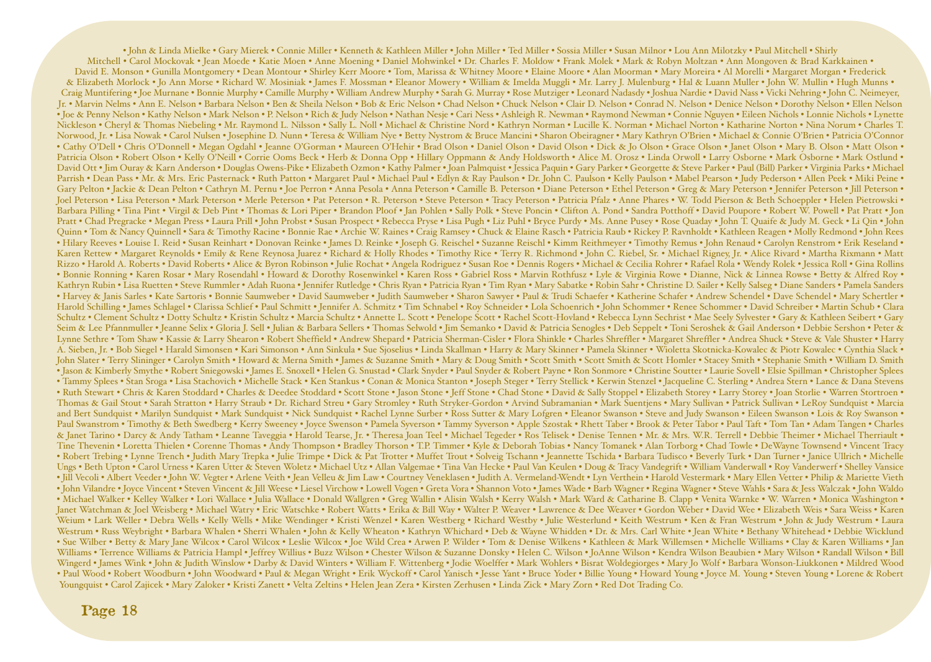• John & Linda Mielke • Gary Mierek • Connie Miller • Kenneth & Kathleen Miller • John Miller • Ted Miller • Sossia Miller • Susan Milnor • Lou Ann Milotzky • Paul Mitchell • Shirly Mitchell • Carol Mockovak • Jean Moede • Katie Moen • Anne Moening • Daniel Mohwinkel • Dr. Charles F. Moldow • Frank Molek • Mark & Robyn Moltzan • Ann Mongoven & Brad Karkkainen • David E. Monson • Gunilla Montgomery • Dean Montour • Shirley Kerr Moore • Tom, Marissa & Whitney Moore • Elaine Moore • Alan Moorman • Mary Moreira • Al Morelli • Margaret Morgan • Frederick & Elizabeth Morlock • Jo Ann Morse • Richard W. Mosiniak • James F. Mossman • Eleanor Mowery • William & Imelda Muggli • Mr. Larry J. Mulenburg • Hal & Luann Muller • John W. Mullin • Hugh Munns • Craig Muntifering • Joe Murnane • Bonnie Murphy • Camille Murphy • William Andrew Murphy • Sarah G. Murray • Rose Mutziger • Leonard Nadasdy • Joshua Nardie • David Nass • Vicki Nehring • John C. Neimeyer, Jr. • Marvin Nelms • Ann E. Nelson • Barbara Nelson • Ben & Sheila Nelson • Bob & Eric Nelson • Chad Nelson • Chuck Nelson • Clair D. Nelson • Conrad N. Nelson • Denice Nelson • Dorothy Nelson • Ellen Nelson • Joe & Penny Nelson • Kathy Nelson • Mark Nelson • P. Nelson • Rich & Judy Nelson • Nathan Nesje • Cari Ness • Ashleigh R. Newman • Raymond Newman • Connie Nguyen • Eileen Nichols • Lonnie Nichols • Lynette Nickleson • Cheryl & Thomas Niebeling • Mr. Raymond L. Nilsson • Sally L. Noll • Michael & Christine Nord • Kathryn Norman • Lucille K. Norman • Michael Norton • Katharine Norton • Nina Norum • Charles T. Norwood, Jr. • Lisa Nowak • Carol Nulsen • Josephine D. Nunn • Teresa & William Nye • Betty Nystrom & Bruce Mancini • Sharon Obeiragner • Mary Kathryn O'Brien • Michael & Connie O'Brien • Patricia O'Connor • Cathy O'Dell • Chris O'Donnell • Megan Ogdahl • Jeanne O'Gorman • Maureen O'Hehir • Brad Olson • Daniel Olson • David Olson • Dick & Jo Olson • Grace Olson • Janet Olson • Mary B. Olson • Matt Olson • Matt Olson • Matt O Patricia Olson • Robert Olson • Kelly O'Neill • Corrie Ooms Beck • Herb & Donna Opp • Hillary Oppmann & Andy Holdsworth • Alice M. Orosz • Linda Orwoll • Larry Osborne • Mark Osborne • Mark Ostlund • David Ott • Jim Ouray & Karn Anderson • Douglas Owens-Pike • Elizabeth Ozmon • Kathy Palmer • Joan Palmquist • Jessica Paquin • Gary Parker • Georgette & Steve Parker • Paul (Bill) Parker • Virginia Parks • Michael Parrish • Dean Pass • Mr. & Mrs. Eric Pasternack • Ruth Patton • Margaret Paul • Michael Paul • Edlyn & Ray Paulson • Dr. John C. Paulson • Kelly Paulson • Mabel Pearson • Judy Pederson • Allen Peek • Miki Peine • Gary Pelton • Jackie & Dean Pelton • Cathryn M. Pernu • Joe Perron • Anna Pesola • Anna Peterson • Camille B. Peterson • Diane Peterson • Ethel Peterson • Greg & Mary Peterson • Jennifer Peterson • Jill Peterson • Jennifer Joel Peterson • Lisa Peterson • Mark Peterson • Merle Peterson • Pat Peterson • R. Peterson • Steve Peterson • Tracy Peterson • Patricia Pfalz • Anne Phares • W. Todd Pierson & Beth Schoeppler • Helen Pietrowski • Barbara Pilling • Tina Pint • Virgil & Deb Pint • Thomas & Lori Piper • Brandon Ploof • Jan Pohlen • Sally Polk • Steve Poncin • Clifton A. Pond • Sandra Potthoff • David Poupore • Robert W. Powell • Pat Pratt • Jon Pratt • Chad Pregracke • Megan Press • Laura Prill • John Probst • Susan Prospect • Rebecca Pryse • Lisa Pugh • Liz Puhl • Bryce Purdy • Ms. Anne Pusey • Rose Ouaday • John T. Ouaife & Judy M. Geck • Li Oin • John Quinn • Tom & Nancy Quinnell • Sara & Timothy Racine • Bonnie Rae • Archie W. Raines • Craig Ramsey • Chuck & Elaine Rasch • Patricia Raub • Rickey P. Ravnholdt • Kathleen Reagen • Molly Redmond • John Rees • Hilary Reeves • Louise I. Reid • Susan Reinhart • Donovan Reinke • James D. Reinke • Joseph G. Reischel • Suzanne Reischl • Kimm Reithmeyer • Timothy Remus • John Renaud • Carolyn Renstrom • Erik Reseland • Karen Rettew • Margaret Reynolds • Emily & Rene Reynosa Juarez • Richard & Holly Rhodes • Timothy Rice • Terry R. Richmond • John C. Riebel, Sr. • Michael Rigney, Jr. • Alice Rivard • Martha Rixmann • Matt Rizzo • Harold A. Roberts • David Roberts • Alice & Byron Robinson • Julie Rochat • Angela Rodriguez • Susan Roe • Dennis Rogers • Michael & Cecilia Rohrer • Rafael Rola • Wendy Rolek • Jessica Roll • Gina Rollins • Bonnie Ronning • Karen Rosar • Mary Rosendahl • Howard & Dorothy Rosenwinkel • Karen Ross • Gabriel Ross • Marvin Rothfusz • Lyle & Virginia Rowe • Dianne, Nick & Linnea Rowse • Betty & Alfred Roy • Kathryn Rubin • Lisa Ruetten • Steve Rummler • Adah Ruona • Jennifer Rutledge • Chris Ryan • Patricia Ryan • Tim Ryan • Mary Sabatke • Robin Sahr • Christine D. Sailer • Kelly Salseg • Diane Sanders • Pamela Sanders • Harvey & Janis Sarles • Kate Sartoris • Bonnie Saumweber • David Saumweber • Judith Saumweber • Sharon Sawyer • Paul & Trudi Schaefer • Katherine Schafer • Andrew Schendel • Dave Schendel • Mary Schertler • Harold Schilling • James Schlagel • Clarissa Schlief • Paul Schmitt • Jennifer A. Schmitz • Tim Schnabel • Roy Schneider • Lola Schoenrich • John Schommer • Renee Schommer • David Schreiber • Martin Schub • Clara Schultz • Clement Schultz • Dotty Schultz • Kristin Schultz • Marcia Schultz • Annette L. Scott • Penelope Scott • Rachel Scott-Hovland • Rebecca Lynn Sechrist • Mae Seely Sylvester • Gary & Kathleen Seibert • Gary Seim & Lee Pfannmuller • Jeanne Selix • Gloria J. Sell • Julian & Barbara Sellers • Thomas Selwold • Jim Semanko • David & Patricia Senogles • Deb Seppelt • Toni Seroshek & Gail Anderson • Debbie Sershon • Peter & Lynne Sethre • Tom Shaw • Kassie & Larry Shearon • Robert Sheffield • Andrew Shepard • Patricia Sherman-Cisler • Flora Shinkle • Charles Shreffler • Margaret Shreffler • Andrea Shuck • Steve & Vale Shuster • Harry A. Sieben, Jr. • Bob Siegel • Harald Simonsen • Kari Simonson • Ann Sinkula • Sue Sjoselius • Linda Skallman • Harry & Mary Skinner • Pamela Skinner • Wioletta Skotnicka-Kowalec & Piotr Kowalec • Cynthia Slack • John Slater • Terry Slininger • Carolyn Smith • Howard & Merna Smith • James & Suzanne Smith • Mary & Doug Smith • Scott Smith • Scott Smith & Scott Homler • Stacey Smith • Stephanie Smith • William D. Smith • Jason & Kimberly Smythe • Robert Sniegowski • James E. Snoxell • Helen G. Snustad • Clark Snyder • Paul Snyder & Robert Payne • Ron Sonmore • Christine Soutter • Laurie Sovell • Elsie Spillman • Christopher Splees • Tammy Splees • Stan Sroga • Lisa Stachovich • Michelle Stack • Ken Stankus • Conan & Monica Stanton • Joseph Steger • Terry Stellick • Kerwin Stenzel • Jacqueline C. Sterling • Andrea Stern • Lance & Dana Stevens • Ruth Stewart • Chris & Karen Stoddard • Charles & Deedee Stoddard • Scott Stone • Jason Stone • Jeff Stone • Chad Stone • David & Sally Stoppel • Elizabeth Storey • Larry Storey • Joan Storlie • Warren Stortroen • Thomas & Gail Stout • Sarah Stratton • Harry Straub • Dr. Richard Streu • Gary Stromley • Ruth Stryker-Gordon • Arvind Subramanian • Mark Suentjens • Mary Sullivan • Patrick Sullivan • LeRoy Sundquist • Marcia and Bert Sundquist • Marilyn Sundquist • Mark Sundquist • Nick Sundquist • Rachel Lynne Surber • Ross Sutter & Mary Lofgren • Eleanor Swanson • Steve and Judy Swanson • Eileen Swanson • Lois & Roy Swanson • Paul Swanstrom • Timothy & Beth Swedberg • Kerry Sweeney • Joyce Swenson • Pamela Syverson • Tammy Syverson • Apple Szostak • Rhett Taber • Brook & Peter Tabor • Paul Taft • Tom Tan • Adam Tangen • Charles & Janet Tarino • Darcy & Andy Tatham • Leanne Taveggia • Harold Tearse, Jr. • Theresa Joan Teel • Michael Tegeder • Ros Telisek • Denise Tennen • Mr. & Mrs. W.R. Terrell • Debbie Theimer • Michael Therriault • Tine Thevenin • Loretta Thielen • Corenne Thomas • Andy Thompson • Bradley Thorson • T.P. Timmer • Kyle & Deborah Tobias • Nancy Tomanek • Alan Torborg • Chad Towle • DeWayne Townsend • Vincent Tracy • Robert Trebing • Lynne Trench • Judith Mary Trepka • Julie Trimpe • Dick & Pat Trotter • Muffet Trout • Solveig Tschann • Jeannette Tschida • Barbara Tudisco • Beverly Turk • Dan Turner • Janice Ullrich • Michelle Ungs • Beth Upton • Carol Urness • Karen Utter & Steven Woletz • Michael Utz • Allan Valgemae • Tina Van Hecke • Paul Van Keulen • Doug & Tracy Vandegrift • William Vanderwall • Roy Vanderwerf • Shelley Vansice • Jill Vecoli • Albert Veeder • John W. Vegter • Arlene Veith • Jean Velleu & Jim Law • Courtney Veneklasen • Judith A. Vermeland-Wendt • Lyn Verthein • Harold Vestermark • Mary Ellen Vetter • Philip & Mariette Vieth • John Vilandre • Joyce Vincent • Steven Vincent & Jill Weese • Liesel Virchow • Lowell Vogen • Greta Vora • Shannon Voto • James Wade • Barb Wagner • Regina Wagner • Steve Wahls • Sara & Jess Walczak • John Waldo • Michael Walker • Kelley Walker • Lori Wallace • Julia Wallace • Donald Wallgren • Greg Wallin • Alisin Walsh • Kerry Walsh • Mark Ward & Catharine B. Clapp • Venita Warnke • W. Warren • Monica Washington • Janet Watchman & Joel Weisberg • Michael Watry • Eric Watschke • Robert Watts • Erika & Bill Way • Walter P. Weaver • Lawrence & Dee Weaver • Gordon Weber • David Wee • Elizabeth Weis • Sara Weiss • Karen Weium • Lark Weller • Debra Wells • Kelly Wells • Mike Wendinger • Kristi Wenzel • Karen Westberg • Richard Westby • Julie Westerlund • Keith Westrum • Ken & Fran Westrum • John & Judy Westrum • Laura Westrum • Russ Weybright • Barbara Whalen • Sherri Whalen • John & Kelly Wheaton • Kathryn Whichard • Deb & Wayne Whidden • Dr. & Mrs. Carl White • Jean White • Bethany Whitehead • Debbie Wicklund • Sue Wilber • Betty & Mary Jane Wilcox • Carol Wilcox • Leslie Wilcox • Joe Wild Crea • Arwen P. Wilder • Tom & Denise Wilkens • Kathleen & Mark Willemsen • Michelle Williams • Clay & Karen Williams • Ian Williams • Terrence Williams & Patricia Hampl • Jeffrey Willius • Buzz Wilson • Chester Wilson & Suzanne Donsky • Helen C. Wilson • JoAnne Wilson • Kendra Wilson Beaubien • Mary Wilson • Randall Wilson • Bill Wingerd • James Wink • John & Judith Winslow • Darby & David Winters • William F. Wittenberg • Jodie Woelffer • Mark Wohlers • Bisrat Woldegiorges • Mary Jo Wolf • Barbara Wonson-Liukkonen • Mildred Wood • Paul Wood • Robert Woodburn • John Woodward • Paul & Megan Wright • Erik Wyckoff • Carol Yanisch • Jesse Yant • Bruce Yoder • Billie Young • Howard Young • Joyce M. Young • Steven Young • Lorene & Robert Youngquist • Carol Zajicek • Mary Zaloker • Kristi Zanett • Velta Zeltins • Helen Jean Zera • Kirsten Zerhusen • Linda Zick • Mary Zorn • Red Dot Trading Co.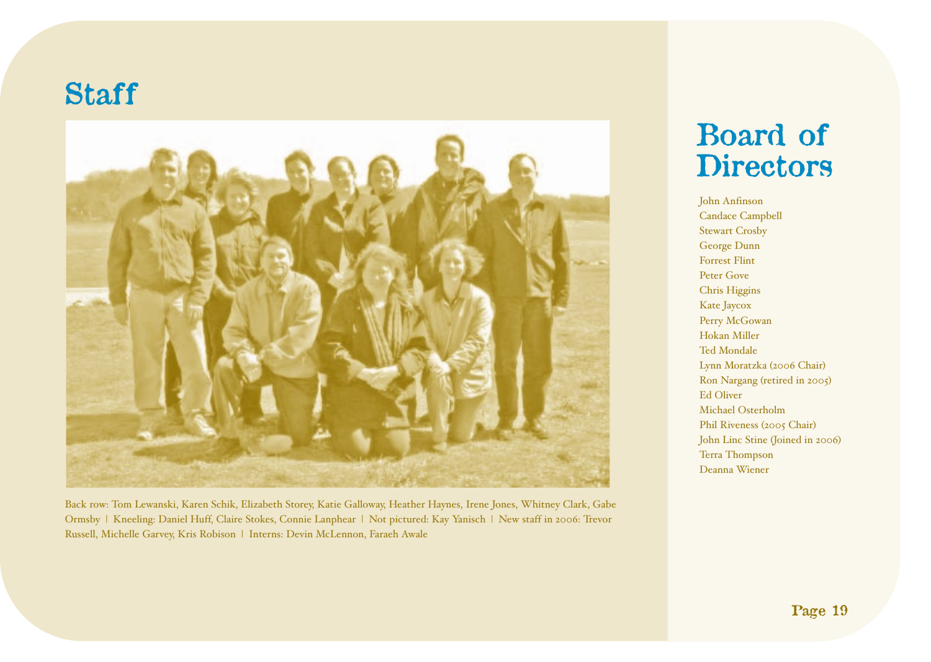# **Staff**



Back row: Tom Lewanski, Karen Schik, Elizabeth Storey, Katie Galloway, Heather Haynes, Irene Jones, Whitney Clark, Gabe Ormsby | Kneeling: Daniel Huff, Claire Stokes, Connie Lanphear | Not pictured: Kay Yanisch | New staff in 2006: Trevor Russell, Michelle Garvey, Kris Robison | Interns: Devin McLennon, Faraeh Awale

# **Board of Directors**

John Anfinson Candace Campbell Stewart Crosby George Dunn Forrest Flint Peter Gove Chris Higgins Kate Jaycox Perry McGowan Hokan Miller Ted Mondale Lynn Moratzka (2006 Chair) Ron Nargang (retired in 2005) Ed Oliver Michael Osterholm Phil Riveness (2005 Chair) John Linc Stine (Joined in 2006) Terra Thompson Deanna Wiener